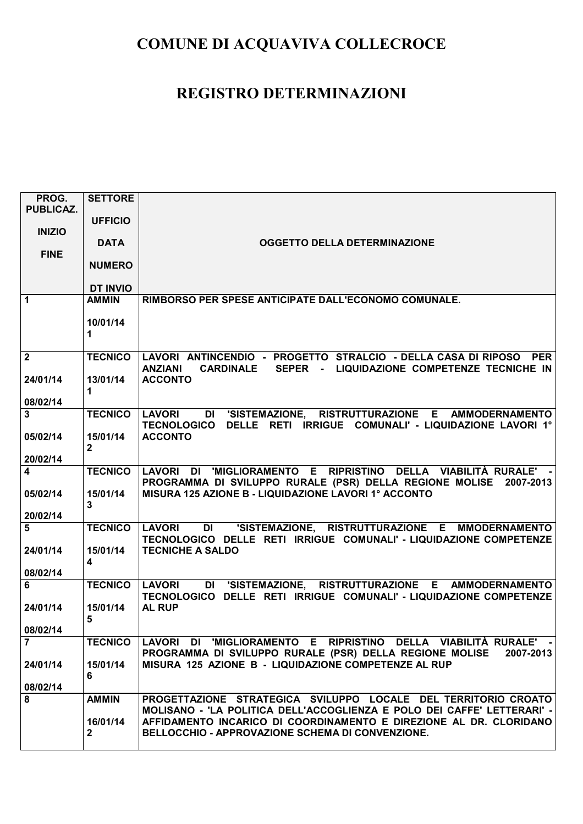| PROG.<br><b>PUBLICAZ.</b> | <b>SETTORE</b>  |                                                                                                                                                        |
|---------------------------|-----------------|--------------------------------------------------------------------------------------------------------------------------------------------------------|
|                           | <b>UFFICIO</b>  |                                                                                                                                                        |
| <b>INIZIO</b>             |                 |                                                                                                                                                        |
|                           | <b>DATA</b>     | <b>OGGETTO DELLA DETERMINAZIONE</b>                                                                                                                    |
| <b>FINE</b>               | <b>NUMERO</b>   |                                                                                                                                                        |
|                           |                 |                                                                                                                                                        |
|                           | <b>DT INVIO</b> |                                                                                                                                                        |
| $\mathbf{1}$              | <b>AMMIN</b>    | RIMBORSO PER SPESE ANTICIPATE DALL'ECONOMO COMUNALE.                                                                                                   |
|                           | 10/01/14        |                                                                                                                                                        |
|                           | 1               |                                                                                                                                                        |
|                           |                 |                                                                                                                                                        |
| $\overline{\mathbf{2}}$   | <b>TECNICO</b>  | LAVORI ANTINCENDIO - PROGETTO STRALCIO - DELLA CASA DI RIPOSO PER<br><b>CARDINALE</b><br>SEPER - LIQUIDAZIONE COMPETENZE TECNICHE IN<br><b>ANZIANI</b> |
| 24/01/14                  | 13/01/14        | <b>ACCONTO</b>                                                                                                                                         |
|                           | 1               |                                                                                                                                                        |
| 08/02/14<br>$\mathbf{3}$  | <b>TECNICO</b>  | RISTRUTTURAZIONE E AMMODERNAMENTO<br><b>LAVORI</b><br>DI 'SISTEMAZIONE,                                                                                |
|                           |                 | TECNOLOGICO DELLE RETI IRRIGUE COMUNALI' - LIQUIDAZIONE LAVORI 1°                                                                                      |
| 05/02/14                  | 15/01/14        | <b>ACCONTO</b>                                                                                                                                         |
| 20/02/14                  | $\mathbf{2}$    |                                                                                                                                                        |
| $\overline{\mathbf{4}}$   | <b>TECNICO</b>  | LAVORI DI 'MIGLIORAMENTO E RIPRISTINO DELLA VIABILITÀ RURALE' -                                                                                        |
|                           |                 | PROGRAMMA DI SVILUPPO RURALE (PSR) DELLA REGIONE MOLISE 2007-2013                                                                                      |
| 05/02/14                  | 15/01/14        | MISURA 125 AZIONE B - LIQUIDAZIONE LAVORI 1º ACCONTO                                                                                                   |
| 20/02/14                  | 3               |                                                                                                                                                        |
| 5                         | <b>TECNICO</b>  | 'SISTEMAZIONE, RISTRUTTURAZIONE E MMODERNAMENTO<br><b>LAVORI</b><br><b>DI</b>                                                                          |
|                           |                 | TECNOLOGICO DELLE RETI IRRIGUE COMUNALI' - LIQUIDAZIONE COMPETENZE                                                                                     |
| 24/01/14                  | 15/01/14        | <b>TECNICHE A SALDO</b>                                                                                                                                |
| 08/02/14                  | 4               |                                                                                                                                                        |
| 6                         | <b>TECNICO</b>  | <b>LAVORI</b><br>DI 'SISTEMAZIONE, RISTRUTTURAZIONE E AMMODERNAMENTO                                                                                   |
|                           |                 | TECNOLOGICO DELLE RETI IRRIGUE COMUNALI' - LIQUIDAZIONE COMPETENZE                                                                                     |
| 24/01/14                  | 15/01/14<br>5   | <b>AL RUP</b>                                                                                                                                          |
| 08/02/14                  |                 |                                                                                                                                                        |
| $\overline{7}$            | <b>TECNICO</b>  | LAVORI DI 'MIGLIORAMENTO E RIPRISTINO DELLA VIABILITÀ RURALE' -                                                                                        |
|                           | 15/01/14        | PROGRAMMA DI SVILUPPO RURALE (PSR) DELLA REGIONE MOLISE<br>2007-2013<br>MISURA 125 AZIONE B - LIQUIDAZIONE COMPETENZE AL RUP                           |
| 24/01/14                  | 6               |                                                                                                                                                        |
| 08/02/14                  |                 |                                                                                                                                                        |
| 8                         | <b>AMMIN</b>    | PROGETTAZIONE STRATEGICA SVILUPPO LOCALE DEL TERRITORIO CROATO                                                                                         |
|                           | 16/01/14        | MOLISANO - 'LA POLITICA DELL'ACCOGLIENZA E POLO DEI CAFFE' LETTERARI' -<br>AFFIDAMENTO INCARICO DI COORDINAMENTO E DIREZIONE AL DR. CLORIDANO          |
|                           | $\mathbf{2}$    | BELLOCCHIO - APPROVAZIONE SCHEMA DI CONVENZIONE.                                                                                                       |
|                           |                 |                                                                                                                                                        |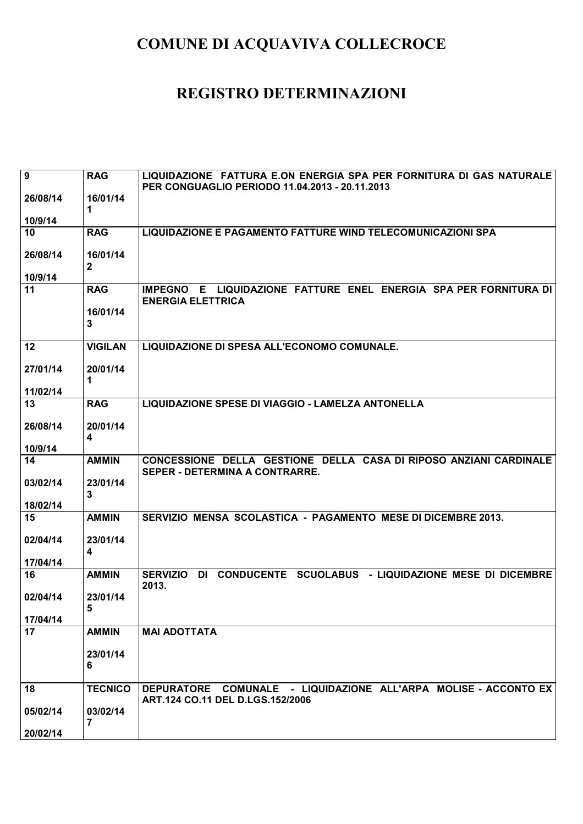| $\overline{9}$ | <b>RAG</b>                          | LIQUIDAZIONE FATTURA E.ON ENERGIA SPA PER FORNITURA DI GAS NATURALE<br>PER CONGUAGLIO PERIODO 11.04.2013 - 20.11.2013 |
|----------------|-------------------------------------|-----------------------------------------------------------------------------------------------------------------------|
| 26/08/14       | 16/01/14<br>1                       |                                                                                                                       |
| 10/9/14        |                                     |                                                                                                                       |
| 10             | <b>RAG</b>                          | <b>LIQUIDAZIONE E PAGAMENTO FATTURE WIND TELECOMUNICAZIONI SPA</b>                                                    |
| 26/08/14       | 16/01/14<br>$\mathbf{2}$            |                                                                                                                       |
| 10/9/14        |                                     |                                                                                                                       |
| 11             | <b>RAG</b>                          | IMPEGNO E LIQUIDAZIONE FATTURE ENEL ENERGIA SPA PER FORNITURA DI<br><b>ENERGIA ELETTRICA</b>                          |
|                | 16/01/14<br>$\mathbf{3}$            |                                                                                                                       |
| 12             | <b>VIGILAN</b>                      | LIQUIDAZIONE DI SPESA ALL'ECONOMO COMUNALE.                                                                           |
| 27/01/14       | 20/01/14<br>1                       |                                                                                                                       |
| 11/02/14       |                                     |                                                                                                                       |
| 13             | <b>RAG</b>                          | LIQUIDAZIONE SPESE DI VIAGGIO - LAMELZA ANTONELLA                                                                     |
| 26/08/14       | 20/01/14<br>$\overline{\mathbf{4}}$ |                                                                                                                       |
| 10/9/14        |                                     |                                                                                                                       |
| 14             | <b>AMMIN</b>                        | CONCESSIONE DELLA GESTIONE DELLA CASA DI RIPOSO ANZIANI CARDINALE<br>SEPER - DETERMINA A CONTRARRE.                   |
| 03/02/14       | 23/01/14<br>$\mathbf{3}$            |                                                                                                                       |
| 18/02/14       |                                     |                                                                                                                       |
| 15             | <b>AMMIN</b>                        | SERVIZIO MENSA SCOLASTICA - PAGAMENTO MESE DI DICEMBRE 2013.                                                          |
| 02/04/14       | 23/01/14<br>$\overline{\mathbf{4}}$ |                                                                                                                       |
| 17/04/14       |                                     |                                                                                                                       |
| 16             | <b>AMMIN</b>                        | <b>SERVIZIO</b><br>CONDUCENTE SCUOLABUS - LIQUIDAZIONE MESE DI DICEMBRE<br>DI<br>2013.                                |
| 02/04/14       | 23/01/14<br>5                       |                                                                                                                       |
| 17/04/14       |                                     |                                                                                                                       |
| 17             | <b>AMMIN</b>                        | <b>MAI ADOTTATA</b>                                                                                                   |
|                | 23/01/14<br>6                       |                                                                                                                       |
| 18             | <b>TECNICO</b>                      | DEPURATORE COMUNALE - LIQUIDAZIONE ALL'ARPA MOLISE - ACCONTO EX<br>ART.124 CO.11 DEL D.LGS.152/2006                   |
| 05/02/14       | 03/02/14<br>7                       |                                                                                                                       |
| 20/02/14       |                                     |                                                                                                                       |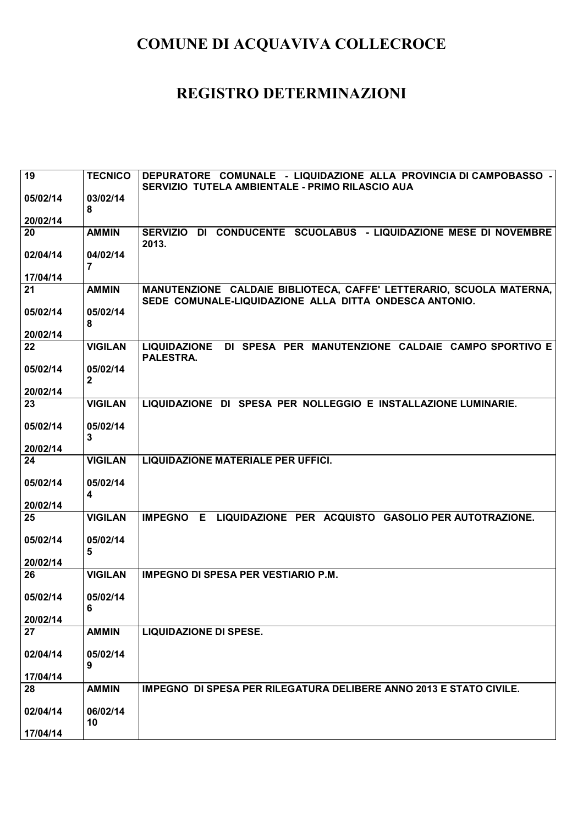| 19       | <b>TECNICO</b> | DEPURATORE COMUNALE - LIQUIDAZIONE ALLA PROVINCIA DI CAMPOBASSO -                                                             |
|----------|----------------|-------------------------------------------------------------------------------------------------------------------------------|
|          |                | SERVIZIO TUTELA AMBIENTALE - PRIMO RILASCIO AUA                                                                               |
| 05/02/14 | 03/02/14       |                                                                                                                               |
|          | 8              |                                                                                                                               |
| 20/02/14 |                |                                                                                                                               |
| 20       | <b>AMMIN</b>   | SERVIZIO DI CONDUCENTE SCUOLABUS - LIQUIDAZIONE MESE DI NOVEMBRE                                                              |
|          |                | 2013.                                                                                                                         |
| 02/04/14 | 04/02/14       |                                                                                                                               |
|          | $\overline{7}$ |                                                                                                                               |
| 17/04/14 | <b>AMMIN</b>   |                                                                                                                               |
| 21       |                | MANUTENZIONE CALDAIE BIBLIOTECA, CAFFE' LETTERARIO, SCUOLA MATERNA,<br>SEDE COMUNALE-LIQUIDAZIONE ALLA DITTA ONDESCA ANTONIO. |
| 05/02/14 | 05/02/14       |                                                                                                                               |
|          | 8              |                                                                                                                               |
| 20/02/14 |                |                                                                                                                               |
| 22       | <b>VIGILAN</b> | DI SPESA PER MANUTENZIONE CALDAIE CAMPO SPORTIVO E<br><b>LIQUIDAZIONE</b>                                                     |
|          |                | PALESTRA.                                                                                                                     |
| 05/02/14 | 05/02/14       |                                                                                                                               |
|          | $\mathbf{2}$   |                                                                                                                               |
| 20/02/14 |                |                                                                                                                               |
| 23       | <b>VIGILAN</b> | LIQUIDAZIONE DI SPESA PER NOLLEGGIO E INSTALLAZIONE LUMINARIE.                                                                |
|          |                |                                                                                                                               |
| 05/02/14 | 05/02/14       |                                                                                                                               |
|          | 3              |                                                                                                                               |
| 20/02/14 |                |                                                                                                                               |
|          |                |                                                                                                                               |
| 24       | <b>VIGILAN</b> | LIQUIDAZIONE MATERIALE PER UFFICI.                                                                                            |
|          |                |                                                                                                                               |
| 05/02/14 | 05/02/14       |                                                                                                                               |
|          | 4              |                                                                                                                               |
| 20/02/14 |                |                                                                                                                               |
| 25       | <b>VIGILAN</b> | IMPEGNO E LIQUIDAZIONE PER ACQUISTO GASOLIO PER AUTOTRAZIONE.                                                                 |
|          |                |                                                                                                                               |
| 05/02/14 | 05/02/14       |                                                                                                                               |
|          | 5              |                                                                                                                               |
| 20/02/14 |                |                                                                                                                               |
| 26       | <b>VIGILAN</b> | <b>IMPEGNO DI SPESA PER VESTIARIO P.M.</b>                                                                                    |
|          |                |                                                                                                                               |
| 05/02/14 | 05/02/14       |                                                                                                                               |
|          | $\bf 6$        |                                                                                                                               |
| 20/02/14 |                |                                                                                                                               |
| 27       | <b>AMMIN</b>   | <b>LIQUIDAZIONE DI SPESE.</b>                                                                                                 |
|          |                |                                                                                                                               |
| 02/04/14 | 05/02/14<br>9  |                                                                                                                               |
| 17/04/14 |                |                                                                                                                               |
| 28       | <b>AMMIN</b>   | <b>IMPEGNO DI SPESA PER RILEGATURA DELIBERE ANNO 2013 E STATO CIVILE.</b>                                                     |
|          |                |                                                                                                                               |
| 02/04/14 | 06/02/14       |                                                                                                                               |
| 17/04/14 | 10             |                                                                                                                               |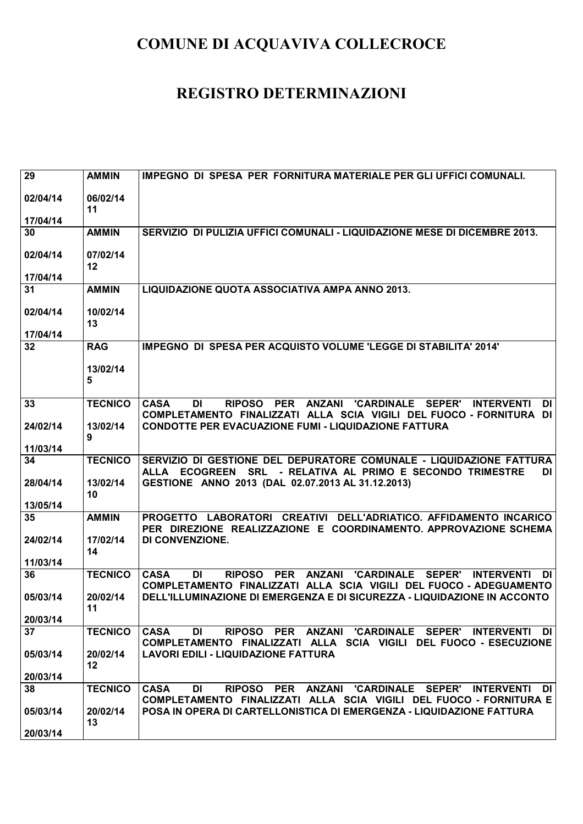| 29       | <b>AMMIN</b>   | <b>IMPEGNO DI SPESA PER FORNITURA MATERIALE PER GLI UFFICI COMUNALI.</b>                                                                                                                                 |
|----------|----------------|----------------------------------------------------------------------------------------------------------------------------------------------------------------------------------------------------------|
| 02/04/14 | 06/02/14<br>11 |                                                                                                                                                                                                          |
| 17/04/14 |                |                                                                                                                                                                                                          |
| 30       | <b>AMMIN</b>   | SERVIZIO DI PULIZIA UFFICI COMUNALI - LIQUIDAZIONE MESE DI DICEMBRE 2013.                                                                                                                                |
| 02/04/14 | 07/02/14<br>12 |                                                                                                                                                                                                          |
| 17/04/14 |                |                                                                                                                                                                                                          |
| 31       | <b>AMMIN</b>   | LIQUIDAZIONE QUOTA ASSOCIATIVA AMPA ANNO 2013.                                                                                                                                                           |
| 02/04/14 | 10/02/14<br>13 |                                                                                                                                                                                                          |
| 17/04/14 |                |                                                                                                                                                                                                          |
| 32       | <b>RAG</b>     | IMPEGNO DI SPESA PER ACQUISTO VOLUME 'LEGGE DI STABILITA' 2014'                                                                                                                                          |
|          | 13/02/14<br>5  |                                                                                                                                                                                                          |
| 33       | <b>TECNICO</b> | <b>RIPOSO</b><br>PER ANZANI 'CARDINALE SEPER'<br><b>CASA</b><br>DI<br><b>INTERVENTI</b><br>DI<br>COMPLETAMENTO FINALIZZATI ALLA SCIA VIGILI DEL FUOCO - FORNITURA DI                                     |
| 24/02/14 | 13/02/14<br>9  | <b>CONDOTTE PER EVACUAZIONE FUMI - LIQUIDAZIONE FATTURA</b>                                                                                                                                              |
| 11/03/14 |                |                                                                                                                                                                                                          |
| 34       | <b>TECNICO</b> | SERVIZIO DI GESTIONE DEL DEPURATORE COMUNALE - LIQUIDAZIONE FATTURA<br>ALLA ECOGREEN SRL - RELATIVA AL PRIMO E SECONDO TRIMESTRE<br>DI I                                                                 |
| 28/04/14 | 13/02/14<br>10 | GESTIONE ANNO 2013 (DAL 02.07.2013 AL 31.12.2013)                                                                                                                                                        |
| 13/05/14 |                |                                                                                                                                                                                                          |
| 35       | <b>AMMIN</b>   | PROGETTO LABORATORI CREATIVI DELL'ADRIATICO. AFFIDAMENTO INCARICO<br>PER DIREZIONE REALIZZAZIONE E COORDINAMENTO. APPROVAZIONE SCHEMA                                                                    |
| 24/02/14 | 17/02/14<br>14 | DI CONVENZIONE.                                                                                                                                                                                          |
| 11/03/14 |                |                                                                                                                                                                                                          |
| 36       | <b>TECNICO</b> | <b>CASA</b><br><b>RIPOSO</b><br><b>PER</b><br><b>ANZANI</b><br><b>'CARDINALE</b><br><b>SEPER'</b><br>DI<br><b>INTERVENTI</b><br>DI<br>COMPLETAMENTO FINALIZZATI ALLA SCIA VIGILI DEL FUOCO - ADEGUAMENTO |
| 05/03/14 | 20/02/14<br>11 | DELL'ILLUMINAZIONE DI EMERGENZA E DI SICUREZZA - LIQUIDAZIONE IN ACCONTO                                                                                                                                 |
| 20/03/14 |                |                                                                                                                                                                                                          |
| 37       | <b>TECNICO</b> | <b>CASA</b><br>RIPOSO PER ANZANI 'CARDINALE SEPER' INTERVENTI DI<br>DI<br>COMPLETAMENTO FINALIZZATI ALLA SCIA VIGILI DEL FUOCO - ESECUZIONE                                                              |
| 05/03/14 | 20/02/14<br>12 | <b>LAVORI EDILI - LIQUIDAZIONE FATTURA</b>                                                                                                                                                               |
| 20/03/14 |                |                                                                                                                                                                                                          |
| 38       | <b>TECNICO</b> | <b>CASA</b><br>DI<br><b>RIPOSO</b><br>PER ANZANI 'CARDINALE SEPER' INTERVENTI<br>DI<br>COMPLETAMENTO FINALIZZATI ALLA SCIA VIGILI DEL FUOCO - FORNITURA E                                                |
| 05/03/14 | 20/02/14<br>13 | POSA IN OPERA DI CARTELLONISTICA DI EMERGENZA - LIQUIDAZIONE FATTURA                                                                                                                                     |
| 20/03/14 |                |                                                                                                                                                                                                          |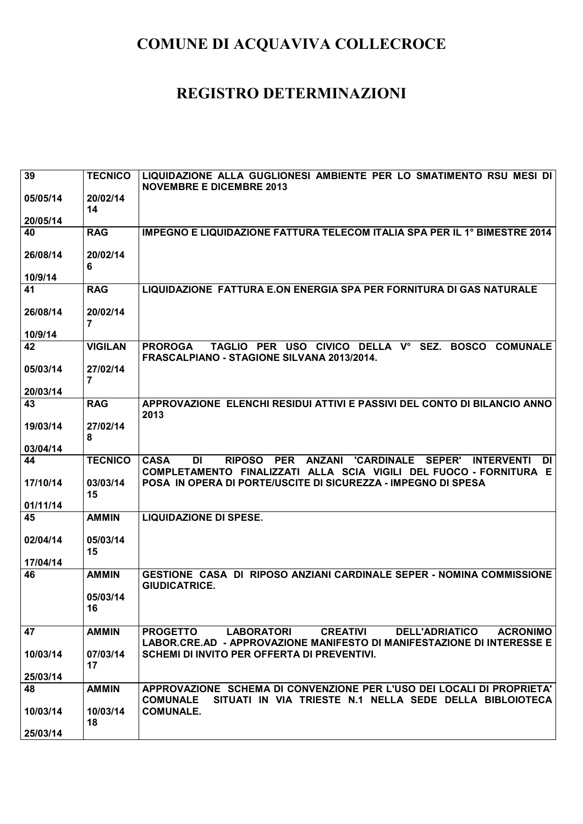| 39       | <b>TECNICO</b>             | LIQUIDAZIONE ALLA GUGLIONESI AMBIENTE PER LO SMATIMENTO RSU MESI DI<br><b>NOVEMBRE E DICEMBRE 2013</b>                                                                                         |
|----------|----------------------------|------------------------------------------------------------------------------------------------------------------------------------------------------------------------------------------------|
| 05/05/14 | 20/02/14<br>14             |                                                                                                                                                                                                |
| 20/05/14 |                            |                                                                                                                                                                                                |
| 40       | <b>RAG</b>                 | IMPEGNO E LIQUIDAZIONE FATTURA TELECOM ITALIA SPA PER IL 1° BIMESTRE 2014                                                                                                                      |
| 26/08/14 | 20/02/14<br>6              |                                                                                                                                                                                                |
| 10/9/14  |                            |                                                                                                                                                                                                |
| 41       | <b>RAG</b>                 | LIQUIDAZIONE FATTURA E.ON ENERGIA SPA PER FORNITURA DI GAS NATURALE                                                                                                                            |
| 26/08/14 | 20/02/14<br>$\overline{7}$ |                                                                                                                                                                                                |
| 10/9/14  |                            |                                                                                                                                                                                                |
| 42       | <b>VIGILAN</b>             | TAGLIO PER USO CIVICO DELLA Vº SEZ.<br><b>BOSCO</b><br><b>COMUNALE</b><br><b>PROROGA</b><br><b>FRASCALPIANO - STAGIONE SILVANA 2013/2014.</b>                                                  |
| 05/03/14 | 27/02/14<br>7              |                                                                                                                                                                                                |
| 20/03/14 |                            |                                                                                                                                                                                                |
| 43       | <b>RAG</b>                 | APPROVAZIONE ELENCHI RESIDUI ATTIVI E PASSIVI DEL CONTO DI BILANCIO ANNO<br>2013                                                                                                               |
| 19/03/14 | 27/02/14<br>8              |                                                                                                                                                                                                |
| 03/04/14 |                            |                                                                                                                                                                                                |
|          |                            |                                                                                                                                                                                                |
| 44       | <b>TECNICO</b>             | <b>RIPOSO</b><br><b>PER</b><br><b>ANZANI 'CARDINALE</b><br><b>SEPER'</b><br><b>CASA</b><br>DI<br><b>INTERVENTI</b><br>DI<br>COMPLETAMENTO FINALIZZATI ALLA SCIA VIGILI DEL FUOCO - FORNITURA E |
| 17/10/14 | 03/03/14<br>15             | POSA IN OPERA DI PORTE/USCITE DI SICUREZZA - IMPEGNO DI SPESA                                                                                                                                  |
| 01/11/14 |                            |                                                                                                                                                                                                |
| 45       | <b>AMMIN</b>               | <b>LIQUIDAZIONE DI SPESE.</b>                                                                                                                                                                  |
| 02/04/14 | 05/03/14<br>15             |                                                                                                                                                                                                |
| 17/04/14 |                            |                                                                                                                                                                                                |
| 46       | <b>AMMIN</b>               | GESTIONE CASA DI RIPOSO ANZIANI CARDINALE SEPER - NOMINA COMMISSIONE<br><b>GIUDICATRICE.</b>                                                                                                   |
|          | 05/03/14<br>16             |                                                                                                                                                                                                |
| 47       | <b>AMMIN</b>               | <b>LABORATORI</b><br><b>CREATIVI</b><br><b>DELL'ADRIATICO</b><br><b>PROGETTO</b><br><b>ACRONIMO</b>                                                                                            |
| 10/03/14 | 07/03/14                   | LABOR.CRE.AD - APPROVAZIONE MANIFESTO DI MANIFESTAZIONE DI INTERESSE E<br>SCHEMI DI INVITO PER OFFERTA DI PREVENTIVI.                                                                          |
|          | 17                         |                                                                                                                                                                                                |
| 25/03/14 |                            |                                                                                                                                                                                                |
| 48       | <b>AMMIN</b>               | APPROVAZIONE SCHEMA DI CONVENZIONE PER L'USO DEI LOCALI DI PROPRIETA'<br>SITUATI IN VIA TRIESTE N.1 NELLA SEDE DELLA BIBLOIOTECA<br><b>COMUNALE</b>                                            |
| 10/03/14 | 10/03/14<br>18             | <b>COMUNALE.</b>                                                                                                                                                                               |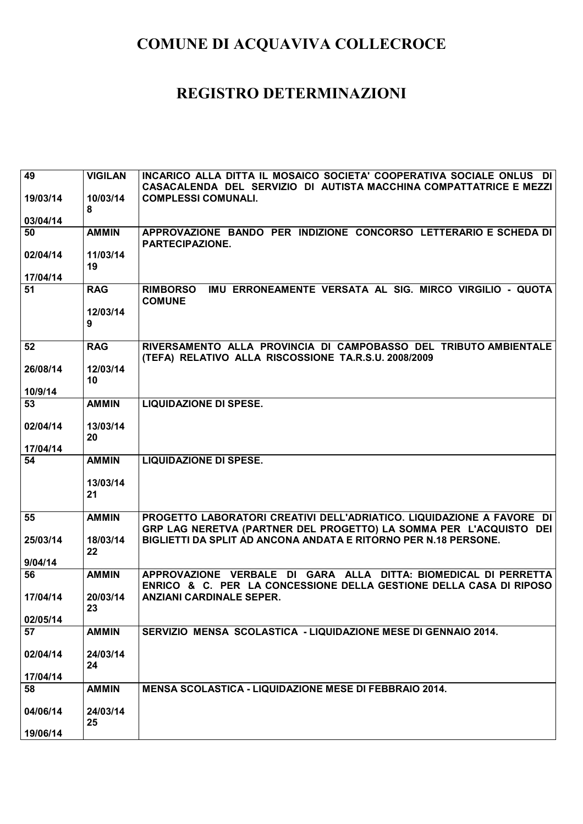| 49             | <b>VIGILAN</b> | INCARICO ALLA DITTA IL MOSAICO SOCIETA' COOPERATIVA SOCIALE ONLUS DI          |
|----------------|----------------|-------------------------------------------------------------------------------|
|                |                | CASACALENDA DEL SERVIZIO DI AUTISTA MACCHINA COMPATTATRICE E MEZZI            |
| 19/03/14       | 10/03/14       | <b>COMPLESSI COMUNALI.</b>                                                    |
|                | 8              |                                                                               |
| 03/04/14<br>50 | <b>AMMIN</b>   | APPROVAZIONE BANDO PER INDIZIONE CONCORSO LETTERARIO E SCHEDA DI              |
|                |                | <b>PARTECIPAZIONE.</b>                                                        |
| 02/04/14       | 11/03/14       |                                                                               |
|                | 19             |                                                                               |
| 17/04/14       |                |                                                                               |
| 51             | <b>RAG</b>     | IMU ERRONEAMENTE VERSATA AL SIG. MIRCO VIRGILIO - QUOTA<br><b>RIMBORSO</b>    |
|                |                | <b>COMUNE</b>                                                                 |
|                | 12/03/14       |                                                                               |
|                | 9              |                                                                               |
| 52             | <b>RAG</b>     | RIVERSAMENTO ALLA PROVINCIA DI CAMPOBASSO DEL TRIBUTO AMBIENTALE              |
|                |                | (TEFA) RELATIVO ALLA RISCOSSIONE TA.R.S.U. 2008/2009                          |
| 26/08/14       | 12/03/14       |                                                                               |
|                | 10             |                                                                               |
| 10/9/14        |                |                                                                               |
| 53             | <b>AMMIN</b>   | <b>LIQUIDAZIONE DI SPESE.</b>                                                 |
|                |                |                                                                               |
| 02/04/14       | 13/03/14       |                                                                               |
| 17/04/14       | 20             |                                                                               |
| 54             | <b>AMMIN</b>   | <b>LIQUIDAZIONE DI SPESE.</b>                                                 |
|                |                |                                                                               |
|                |                |                                                                               |
|                |                |                                                                               |
|                | 13/03/14<br>21 |                                                                               |
|                |                |                                                                               |
| 55             | <b>AMMIN</b>   | PROGETTO LABORATORI CREATIVI DELL'ADRIATICO. LIQUIDAZIONE A FAVORE DI         |
|                |                | GRP LAG NERETVA (PARTNER DEL PROGETTO) LA SOMMA PER L'ACQUISTO DEI            |
| 25/03/14       | 18/03/14       | BIGLIETTI DA SPLIT AD ANCONA ANDATA E RITORNO PER N.18 PERSONE.               |
|                | 22             |                                                                               |
| 9/04/14        |                |                                                                               |
| 56             | <b>AMMIN</b>   | APPROVAZIONE VERBALE DI GARA ALLA DITTA: BIOMEDICAL DI PERRETTA               |
|                |                | <b>ENRICO &amp; C. PER LA CONCESSIONE DELLA GESTIONE DELLA CASA DI RIPOSO</b> |
| 17/04/14       | 20/03/14<br>23 | <b>ANZIANI CARDINALE SEPER.</b>                                               |
| 02/05/14       |                |                                                                               |
| 57             | <b>AMMIN</b>   | SERVIZIO MENSA SCOLASTICA - LIQUIDAZIONE MESE DI GENNAIO 2014.                |
|                |                |                                                                               |
| 02/04/14       | 24/03/14       |                                                                               |
|                | 24             |                                                                               |
| 17/04/14       |                |                                                                               |
| 58             | <b>AMMIN</b>   | MENSA SCOLASTICA - LIQUIDAZIONE MESE DI FEBBRAIO 2014.                        |
|                | 24/03/14       |                                                                               |
| 04/06/14       | 25             |                                                                               |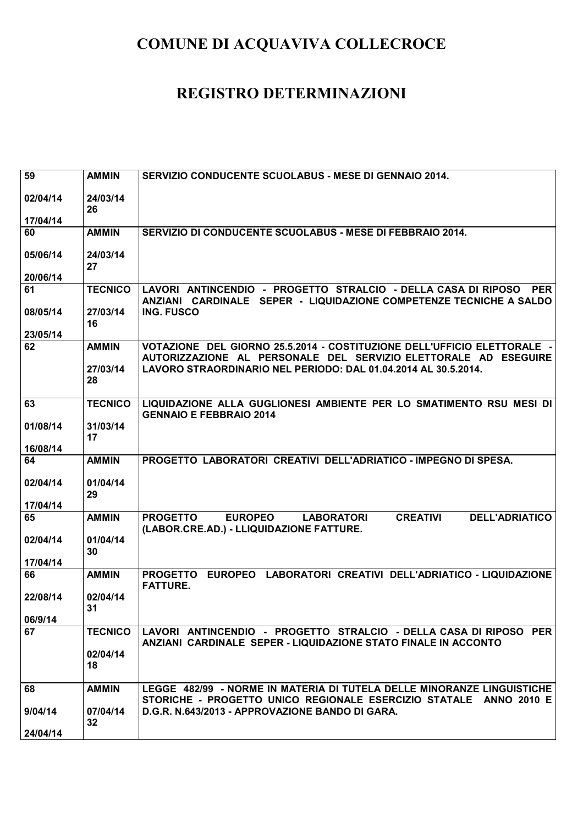| 59       | <b>AMMIN</b>             | SERVIZIO CONDUCENTE SCUOLABUS - MESE DI GENNAIO 2014.                                                                                                                                                        |
|----------|--------------------------|--------------------------------------------------------------------------------------------------------------------------------------------------------------------------------------------------------------|
| 02/04/14 | 24/03/14<br>26           |                                                                                                                                                                                                              |
| 17/04/14 |                          |                                                                                                                                                                                                              |
| 60       | <b>AMMIN</b>             | SERVIZIO DI CONDUCENTE SCUOLABUS - MESE DI FEBBRAIO 2014.                                                                                                                                                    |
| 05/06/14 | 24/03/14<br>27           |                                                                                                                                                                                                              |
| 20/06/14 |                          |                                                                                                                                                                                                              |
| 61       | <b>TECNICO</b>           | LAVORI ANTINCENDIO - PROGETTO STRALCIO - DELLA CASA DI RIPOSO PER<br>ANZIANI CARDINALE SEPER - LIQUIDAZIONE COMPETENZE TECNICHE A SALDO                                                                      |
| 08/05/14 | 27/03/14<br>16           | <b>ING. FUSCO</b>                                                                                                                                                                                            |
| 23/05/14 |                          |                                                                                                                                                                                                              |
| 62       | <b>AMMIN</b><br>27/03/14 | VOTAZIONE DEL GIORNO 25.5.2014 - COSTITUZIONE DELL'UFFICIO ELETTORALE -<br>AUTORIZZAZIONE AL PERSONALE DEL SERVIZIO ELETTORALE AD ESEGUIRE<br>LAVORO STRAORDINARIO NEL PERIODO: DAL 01.04.2014 AL 30.5.2014. |
|          | 28                       |                                                                                                                                                                                                              |
| 63       | <b>TECNICO</b>           | LIQUIDAZIONE ALLA GUGLIONESI AMBIENTE PER LO SMATIMENTO RSU MESI DI<br><b>GENNAIO E FEBBRAIO 2014</b>                                                                                                        |
| 01/08/14 | 31/03/14<br>17           |                                                                                                                                                                                                              |
| 16/08/14 |                          |                                                                                                                                                                                                              |
| 64       | <b>AMMIN</b>             | PROGETTO LABORATORI CREATIVI DELL'ADRIATICO - IMPEGNO DI SPESA.                                                                                                                                              |
| 02/04/14 | 01/04/14<br>29           |                                                                                                                                                                                                              |
| 17/04/14 |                          |                                                                                                                                                                                                              |
| 65       | <b>AMMIN</b>             | <b>CREATIVI</b><br><b>DELL'ADRIATICO</b><br><b>PROGETTO</b><br><b>EUROPEO</b><br><b>LABORATORI</b><br>(LABOR.CRE.AD.) - LLIQUIDAZIONE FATTURE.                                                               |
| 02/04/14 | 01/04/14<br>30           |                                                                                                                                                                                                              |
| 17/04/14 |                          |                                                                                                                                                                                                              |
| 66       | <b>AMMIN</b>             | PROGETTO EUROPEO LABORATORI CREATIVI DELL'ADRIATICO - LIQUIDAZIONE<br><b>FATTURE.</b>                                                                                                                        |
| 22/08/14 | 02/04/14<br>31           |                                                                                                                                                                                                              |
| 06/9/14  |                          |                                                                                                                                                                                                              |
| 67       | <b>TECNICO</b>           | LAVORI ANTINCENDIO - PROGETTO STRALCIO - DELLA CASA DI RIPOSO PER<br>ANZIANI CARDINALE SEPER - LIQUIDAZIONE STATO FINALE IN ACCONTO                                                                          |
|          | 02/04/14<br>18           |                                                                                                                                                                                                              |
| 68       | <b>AMMIN</b>             | LEGGE 482/99 - NORME IN MATERIA DI TUTELA DELLE MINORANZE LINGUISTICHE<br>STORICHE - PROGETTO UNICO REGIONALE ESERCIZIO STATALE ANNO 2010 E                                                                  |
| 9/04/14  | 07/04/14<br>32           | D.G.R. N.643/2013 - APPROVAZIONE BANDO DI GARA.                                                                                                                                                              |
| 24/04/14 |                          |                                                                                                                                                                                                              |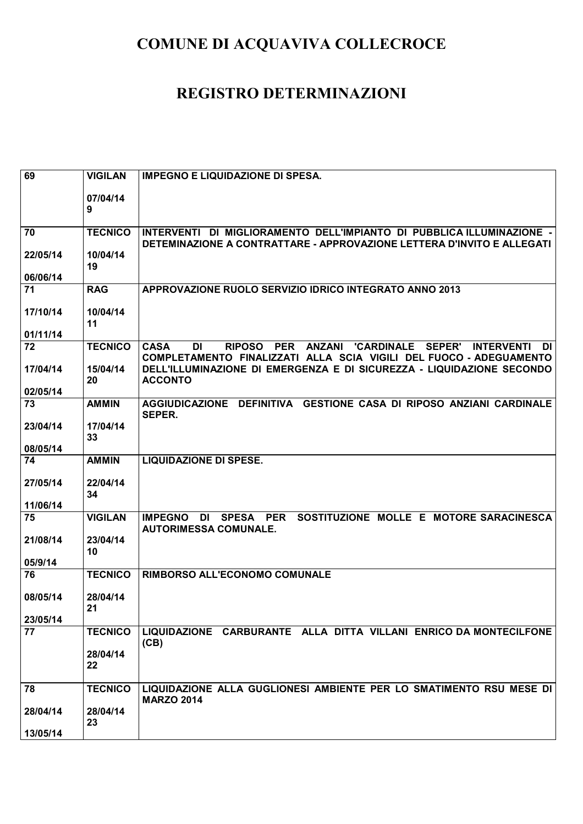| 69       | <b>VIGILAN</b> | <b>IMPEGNO E LIQUIDAZIONE DI SPESA.</b>                                                  |
|----------|----------------|------------------------------------------------------------------------------------------|
|          |                |                                                                                          |
|          | 07/04/14       |                                                                                          |
|          | 9              |                                                                                          |
| 70       | <b>TECNICO</b> | INTERVENTI DI MIGLIORAMENTO DELL'IMPIANTO DI PUBBLICA ILLUMINAZIONE -                    |
|          |                | DETEMINAZIONE A CONTRATTARE - APPROVAZIONE LETTERA D'INVITO E ALLEGATI                   |
| 22/05/14 | 10/04/14       |                                                                                          |
|          | 19             |                                                                                          |
| 06/06/14 |                |                                                                                          |
| 71       | <b>RAG</b>     | APPROVAZIONE RUOLO SERVIZIO IDRICO INTEGRATO ANNO 2013                                   |
| 17/10/14 | 10/04/14       |                                                                                          |
|          | 11             |                                                                                          |
| 01/11/14 |                |                                                                                          |
| 72       | <b>TECNICO</b> | <b>CASA</b><br>RIPOSO PER ANZANI 'CARDINALE SEPER'<br>DI<br><b>INTERVENTI</b><br>DI      |
|          |                | COMPLETAMENTO FINALIZZATI ALLA SCIA VIGILI DEL FUOCO - ADEGUAMENTO                       |
| 17/04/14 | 15/04/14       | DELL'ILLUMINAZIONE DI EMERGENZA E DI SICUREZZA - LIQUIDAZIONE SECONDO                    |
| 02/05/14 | 20             | <b>ACCONTO</b>                                                                           |
| 73       | <b>AMMIN</b>   | AGGIUDICAZIONE DEFINITIVA GESTIONE CASA DI RIPOSO ANZIANI CARDINALE                      |
|          |                | <b>SEPER.</b>                                                                            |
| 23/04/14 | 17/04/14       |                                                                                          |
|          | 33             |                                                                                          |
| 08/05/14 |                |                                                                                          |
| 74       | <b>AMMIN</b>   | <b>LIQUIDAZIONE DI SPESE.</b>                                                            |
| 27/05/14 | 22/04/14       |                                                                                          |
|          | 34             |                                                                                          |
| 11/06/14 |                |                                                                                          |
| 75       | <b>VIGILAN</b> | SOSTITUZIONE MOLLE E MOTORE SARACINESCA<br><b>IMPEGNO</b><br>SPESA PER<br>DI             |
|          |                | <b>AUTORIMESSA COMUNALE.</b>                                                             |
| 21/08/14 | 23/04/14<br>10 |                                                                                          |
| 05/9/14  |                |                                                                                          |
| 76       | <b>TECNICO</b> | RIMBORSO ALL'ECONOMO COMUNALE                                                            |
|          |                |                                                                                          |
| 08/05/14 | 28/04/14       |                                                                                          |
| 23/05/14 | 21             |                                                                                          |
| 77       | <b>TECNICO</b> | LIQUIDAZIONE CARBURANTE ALLA DITTA VILLANI ENRICO DA MONTECILFONE                        |
|          |                | (CB)                                                                                     |
|          | 28/04/14       |                                                                                          |
|          | 22             |                                                                                          |
|          |                |                                                                                          |
| 78       | <b>TECNICO</b> | LIQUIDAZIONE ALLA GUGLIONESI AMBIENTE PER LO SMATIMENTO RSU MESE DI<br><b>MARZO 2014</b> |
| 28/04/14 | 28/04/14       |                                                                                          |
|          | 23             |                                                                                          |
| 13/05/14 |                |                                                                                          |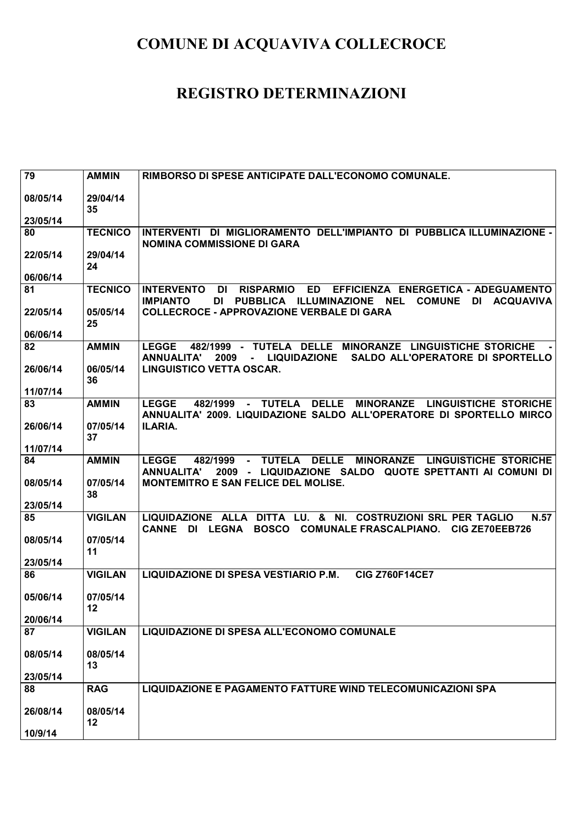| 79             | <b>AMMIN</b>        | RIMBORSO DI SPESE ANTICIPATE DALL'ECONOMO COMUNALE.                                                                                                                                                      |
|----------------|---------------------|----------------------------------------------------------------------------------------------------------------------------------------------------------------------------------------------------------|
|                |                     |                                                                                                                                                                                                          |
| 08/05/14       | 29/04/14<br>35      |                                                                                                                                                                                                          |
| 23/05/14       |                     |                                                                                                                                                                                                          |
| 80             | <b>TECNICO</b>      | INTERVENTI DI MIGLIORAMENTO DELL'IMPIANTO DI PUBBLICA ILLUMINAZIONE -                                                                                                                                    |
|                |                     | <b>NOMINA COMMISSIONE DI GARA</b>                                                                                                                                                                        |
| 22/05/14       | 29/04/14            |                                                                                                                                                                                                          |
|                | 24                  |                                                                                                                                                                                                          |
| 06/06/14       |                     |                                                                                                                                                                                                          |
| 81             | <b>TECNICO</b>      | <b>RISPARMIO</b><br><b>ED</b><br>EFFICIENZA ENERGETICA - ADEGUAMENTO<br><b>INTERVENTO</b><br>DI<br><b>DI</b><br><b>NEL</b><br><b>COMUNE</b><br>DI ACQUAVIVA<br><b>IMPIANTO</b><br>PUBBLICA ILLUMINAZIONE |
| 22/05/14       | 05/05/14            | <b>COLLECROCE - APPROVAZIONE VERBALE DI GARA</b>                                                                                                                                                         |
|                | 25                  |                                                                                                                                                                                                          |
| 06/06/14       |                     |                                                                                                                                                                                                          |
| 82             | <b>AMMIN</b>        | 482/1999 - TUTELA DELLE MINORANZE LINGUISTICHE STORICHE<br>LEGGE                                                                                                                                         |
|                |                     | SALDO ALL'OPERATORE DI SPORTELLO<br><b>ANNUALITA'</b><br>2009<br><b>LIQUIDAZIONE</b><br>$\sim$ 10 $\pm$                                                                                                  |
| 26/06/14       | 06/05/14<br>36      | <b>LINGUISTICO VETTA OSCAR.</b>                                                                                                                                                                          |
| 11/07/14       |                     |                                                                                                                                                                                                          |
| 83             | <b>AMMIN</b>        | <b>DELLE</b><br><b>LEGGE</b><br>482/1999<br><b>TUTELA</b><br><b>MINORANZE</b><br><b>LINGUISTICHE STORICHE</b>                                                                                            |
|                |                     | ANNUALITA' 2009. LIQUIDAZIONE SALDO ALL'OPERATORE DI SPORTELLO MIRCO                                                                                                                                     |
| 26/06/14       | 07/05/14            | ILARIA.                                                                                                                                                                                                  |
|                | 37                  |                                                                                                                                                                                                          |
| 11/07/14       |                     |                                                                                                                                                                                                          |
| 84             | <b>AMMIN</b>        | <b>DELLE</b><br>MINORANZE LINGUISTICHE STORICHE<br>482/1999<br><b>TUTELA</b><br><b>LEGGE</b><br>2009 - LIQUIDAZIONE SALDO QUOTE SPETTANTI AI COMUNI DI<br><b>ANNUALITA'</b>                              |
| 08/05/14       | 07/05/14            | <b>MONTEMITRO E SAN FELICE DEL MOLISE.</b>                                                                                                                                                               |
|                | 38                  |                                                                                                                                                                                                          |
| 23/05/14       |                     |                                                                                                                                                                                                          |
| 85             | <b>VIGILAN</b>      | DITTA LU. & NI. COSTRUZIONI SRL PER TAGLIO<br>LIQUIDAZIONE ALLA<br>N.57                                                                                                                                  |
|                |                     | DI LEGNA<br>BOSCO COMUNALE FRASCALPIANO.<br><b>CANNE</b><br>CIG ZE70EEB726                                                                                                                               |
| 08/05/14       | 07/05/14<br>11      |                                                                                                                                                                                                          |
| 23/05/14       |                     |                                                                                                                                                                                                          |
| 86             | <b>VIGILAN</b>      | LIQUIDAZIONE DI SPESA VESTIARIO P.M.<br><b>CIG Z760F14CE7</b>                                                                                                                                            |
|                |                     |                                                                                                                                                                                                          |
| 05/06/14       | 07/05/14            |                                                                                                                                                                                                          |
|                | 12                  |                                                                                                                                                                                                          |
| 20/06/14<br>87 | <b>VIGILAN</b>      | <b>LIQUIDAZIONE DI SPESA ALL'ECONOMO COMUNALE</b>                                                                                                                                                        |
|                |                     |                                                                                                                                                                                                          |
| 08/05/14       | 08/05/14            |                                                                                                                                                                                                          |
|                | 13                  |                                                                                                                                                                                                          |
| 23/05/14       |                     |                                                                                                                                                                                                          |
| 88             | <b>RAG</b>          | LIQUIDAZIONE E PAGAMENTO FATTURE WIND TELECOMUNICAZIONI SPA                                                                                                                                              |
|                |                     |                                                                                                                                                                                                          |
| 26/08/14       | 08/05/14<br>$12 \,$ |                                                                                                                                                                                                          |
| 10/9/14        |                     |                                                                                                                                                                                                          |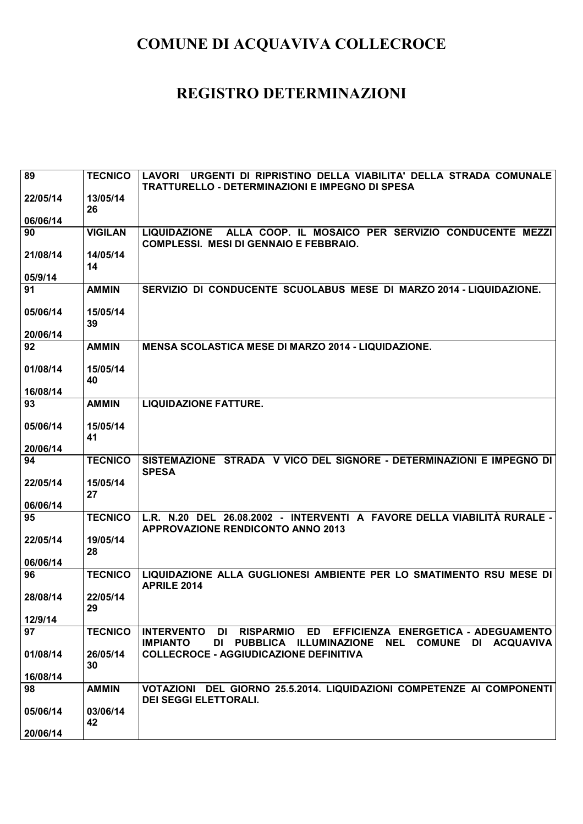| 89       | <b>TECNICO</b> | URGENTI DI RIPRISTINO DELLA VIABILITA' DELLA STRADA COMUNALE<br><b>LAVORI</b>                                               |
|----------|----------------|-----------------------------------------------------------------------------------------------------------------------------|
|          |                | <b>TRATTURELLO - DETERMINAZIONI E IMPEGNO DI SPESA</b>                                                                      |
| 22/05/14 | 13/05/14<br>26 |                                                                                                                             |
| 06/06/14 |                |                                                                                                                             |
| 90       | <b>VIGILAN</b> | ALLA COOP. IL MOSAICO PER SERVIZIO CONDUCENTE MEZZI<br><b>LIQUIDAZIONE</b><br><b>COMPLESSI. MESI DI GENNAIO E FEBBRAIO.</b> |
| 21/08/14 | 14/05/14       |                                                                                                                             |
| 05/9/14  | 14             |                                                                                                                             |
| 91       | <b>AMMIN</b>   | SERVIZIO DI CONDUCENTE SCUOLABUS MESE DI MARZO 2014 - LIQUIDAZIONE.                                                         |
|          |                |                                                                                                                             |
| 05/06/14 | 15/05/14<br>39 |                                                                                                                             |
| 20/06/14 |                |                                                                                                                             |
| 92       | <b>AMMIN</b>   | <b>MENSA SCOLASTICA MESE DI MARZO 2014 - LIQUIDAZIONE.</b>                                                                  |
| 01/08/14 | 15/05/14<br>40 |                                                                                                                             |
| 16/08/14 |                |                                                                                                                             |
| 93       | <b>AMMIN</b>   | <b>LIQUIDAZIONE FATTURE.</b>                                                                                                |
| 05/06/14 | 15/05/14       |                                                                                                                             |
|          | 41             |                                                                                                                             |
| 20/06/14 |                |                                                                                                                             |
| 94       | <b>TECNICO</b> | SISTEMAZIONE STRADA V VICO DEL SIGNORE - DETERMINAZIONI E IMPEGNO DI<br><b>SPESA</b>                                        |
| 22/05/14 | 15/05/14       |                                                                                                                             |
| 06/06/14 | 27             |                                                                                                                             |
| 95       | <b>TECNICO</b> | L.R. N.20 DEL 26.08.2002 - INTERVENTI A FAVORE DELLA VIABILITÀ RURALE -                                                     |
|          |                | <b>APPROVAZIONE RENDICONTO ANNO 2013</b>                                                                                    |
| 22/05/14 | 19/05/14<br>28 |                                                                                                                             |
| 06/06/14 |                |                                                                                                                             |
| 96       | <b>TECNICO</b> | LIQUIDAZIONE ALLA GUGLIONESI AMBIENTE PER LO SMATIMENTO RSU MESE DI                                                         |
|          |                | <b>APRILE 2014</b>                                                                                                          |
| 28/08/14 | 22/05/14<br>29 |                                                                                                                             |
| 12/9/14  |                |                                                                                                                             |
| 97       | <b>TECNICO</b> | RISPARMIO ED EFFICIENZA ENERGETICA - ADEGUAMENTO<br><b>INTERVENTO</b><br>DI                                                 |
| 01/08/14 | 26/05/14       | DI PUBBLICA ILLUMINAZIONE NEL COMUNE DI ACQUAVIVA<br><b>IMPIANTO</b><br><b>COLLECROCE - AGGIUDICAZIONE DEFINITIVA</b>       |
|          | 30             |                                                                                                                             |
|          |                |                                                                                                                             |
| 16/08/14 |                |                                                                                                                             |
| 98       | <b>AMMIN</b>   | VOTAZIONI DEL GIORNO 25.5.2014. LIQUIDAZIONI COMPETENZE AI COMPONENTI<br><b>DEI SEGGI ELETTORALI.</b>                       |
| 05/06/14 | 03/06/14       |                                                                                                                             |
| 20/06/14 | 42             |                                                                                                                             |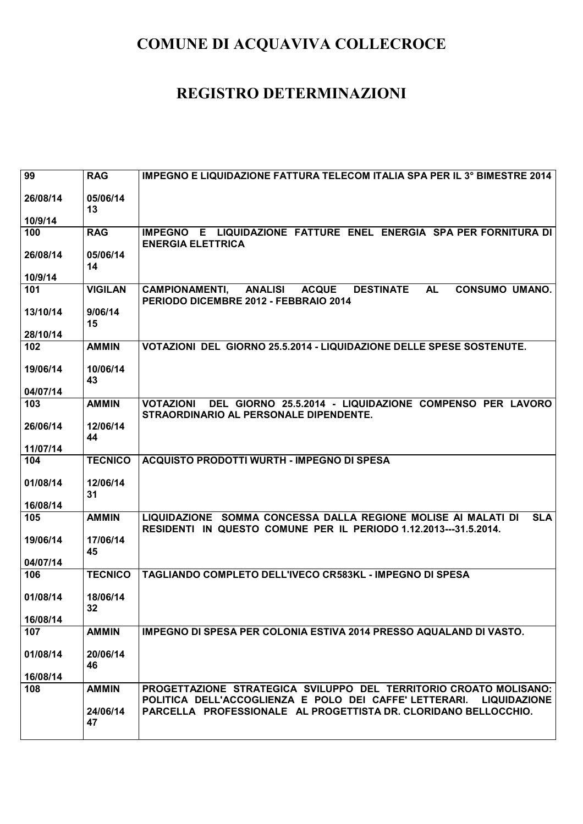| 99       | <b>RAG</b>                  | IMPEGNO E LIQUIDAZIONE FATTURA TELECOM ITALIA SPA PER IL 3° BIMESTRE 2014                                                                                  |
|----------|-----------------------------|------------------------------------------------------------------------------------------------------------------------------------------------------------|
| 26/08/14 | 05/06/14<br>13              |                                                                                                                                                            |
| 10/9/14  |                             |                                                                                                                                                            |
| 100      | <b>RAG</b>                  | IMPEGNO E LIQUIDAZIONE FATTURE ENEL ENERGIA SPA PER FORNITURA DI<br><b>ENERGIA ELETTRICA</b>                                                               |
| 26/08/14 | 05/06/14<br>14              |                                                                                                                                                            |
| 10/9/14  |                             |                                                                                                                                                            |
| 101      | <b>VIGILAN</b>              | <b>CONSUMO UMANO.</b><br><b>ANALISI</b><br><b>ACQUE</b><br><b>DESTINATE</b><br><b>AL</b><br><b>CAMPIONAMENTI,</b><br>PERIODO DICEMBRE 2012 - FEBBRAIO 2014 |
| 13/10/14 | 9/06/14<br>15               |                                                                                                                                                            |
| 28/10/14 |                             |                                                                                                                                                            |
| 102      | <b>AMMIN</b>                | VOTAZIONI DEL GIORNO 25.5.2014 - LIQUIDAZIONE DELLE SPESE SOSTENUTE.                                                                                       |
| 19/06/14 | 10/06/14<br>43              |                                                                                                                                                            |
| 04/07/14 |                             |                                                                                                                                                            |
| 103      | <b>AMMIN</b>                | <b>VOTAZIONI</b><br>DEL GIORNO 25.5.2014 - LIQUIDAZIONE COMPENSO PER LAVORO<br>STRAORDINARIO AL PERSONALE DIPENDENTE.                                      |
| 26/06/14 | 12/06/14<br>44              |                                                                                                                                                            |
| 11/07/14 |                             |                                                                                                                                                            |
| 104      | <b>TECNICO</b>              | ACQUISTO PRODOTTI WURTH - IMPEGNO DI SPESA                                                                                                                 |
| 01/08/14 | 12/06/14<br>31              |                                                                                                                                                            |
| 16/08/14 |                             |                                                                                                                                                            |
| 105      | <b>AMMIN</b>                | LIQUIDAZIONE SOMMA CONCESSA DALLA REGIONE MOLISE AI MALATI DI<br><b>SLA</b><br>RESIDENTI IN QUESTO COMUNE PER IL PERIODO 1.12.2013---31.5.2014.            |
| 19/06/14 | 17/06/14<br>45              |                                                                                                                                                            |
| 04/07/14 |                             |                                                                                                                                                            |
| 106      | <b>TECNICO</b>              | TAGLIANDO COMPLETO DELL'IVECO CR583KL - IMPEGNO DI SPESA                                                                                                   |
| 01/08/14 | 18/06/14<br>32 <sub>2</sub> |                                                                                                                                                            |
| 16/08/14 |                             |                                                                                                                                                            |
| 107      | <b>AMMIN</b>                | <b>IMPEGNO DI SPESA PER COLONIA ESTIVA 2014 PRESSO AQUALAND DI VASTO.</b>                                                                                  |
| 01/08/14 | 20/06/14<br>46              |                                                                                                                                                            |
| 16/08/14 |                             |                                                                                                                                                            |
| 108      | <b>AMMIN</b>                | PROGETTAZIONE STRATEGICA SVILUPPO DEL TERRITORIO CROATO MOLISANO:<br>POLITICA DELL'ACCOGLIENZA E POLO DEI CAFFE' LETTERARI.<br><b>LIQUIDAZIONE</b>         |
|          | 24/06/14<br>47              | PARCELLA PROFESSIONALE AL PROGETTISTA DR. CLORIDANO BELLOCCHIO.                                                                                            |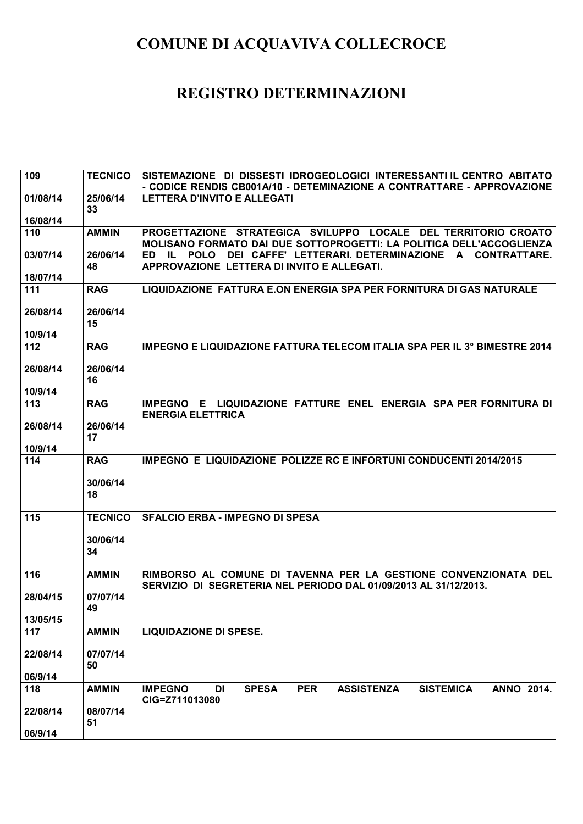| 109            | <b>TECNICO</b> | SISTEMAZIONE DI DISSESTI IDROGEOLOGICI INTERESSANTI IL CENTRO ABITATO                                              |
|----------------|----------------|--------------------------------------------------------------------------------------------------------------------|
|                |                | - CODICE RENDIS CB001A/10 - DETEMINAZIONE A CONTRATTARE - APPROVAZIONE                                             |
| 01/08/14       | 25/06/14<br>33 | <b>LETTERA D'INVITO E ALLEGATI</b>                                                                                 |
| 16/08/14       |                |                                                                                                                    |
| 110            | <b>AMMIN</b>   | PROGETTAZIONE STRATEGICA SVILUPPO LOCALE DEL TERRITORIO CROATO                                                     |
|                |                | MOLISANO FORMATO DAI DUE SOTTOPROGETTI: LA POLITICA DELL'ACCOGLIENZA                                               |
| 03/07/14       | 26/06/14       | ED IL POLO<br>DEI CAFFE' LETTERARI. DETERMINAZIONE<br>A CONTRATTARE.<br>APPROVAZIONE LETTERA DI INVITO E ALLEGATI. |
| 18/07/14       | 48             |                                                                                                                    |
| 111            | <b>RAG</b>     | LIQUIDAZIONE FATTURA E.ON ENERGIA SPA PER FORNITURA DI GAS NATURALE                                                |
|                |                |                                                                                                                    |
| 26/08/14       | 26/06/14       |                                                                                                                    |
|                | 15             |                                                                                                                    |
| 10/9/14<br>112 | <b>RAG</b>     | <b>IMPEGNO E LIQUIDAZIONE FATTURA TELECOM ITALIA SPA PER IL 3° BIMESTRE 2014</b>                                   |
|                |                |                                                                                                                    |
| 26/08/14       | 26/06/14       |                                                                                                                    |
|                | 16             |                                                                                                                    |
| 10/9/14<br>113 |                | IMPEGNO E LIQUIDAZIONE FATTURE ENEL ENERGIA SPA PER FORNITURA DI                                                   |
|                | <b>RAG</b>     | <b>ENERGIA ELETTRICA</b>                                                                                           |
| 26/08/14       | 26/06/14       |                                                                                                                    |
|                | 17             |                                                                                                                    |
| 10/9/14        |                |                                                                                                                    |
| 114            | <b>RAG</b>     | IMPEGNO E LIQUIDAZIONE POLIZZE RC E INFORTUNI CONDUCENTI 2014/2015                                                 |
|                | 30/06/14       |                                                                                                                    |
|                |                |                                                                                                                    |
|                | 18             |                                                                                                                    |
|                |                |                                                                                                                    |
| 115            | <b>TECNICO</b> | <b>SFALCIO ERBA - IMPEGNO DI SPESA</b>                                                                             |
|                | 30/06/14       |                                                                                                                    |
|                | 34             |                                                                                                                    |
|                |                |                                                                                                                    |
| 116            | <b>AMMIN</b>   | RIMBORSO AL COMUNE DI TAVENNA PER LA GESTIONE CONVENZIONATA DEL                                                    |
|                |                | SERVIZIO DI SEGRETERIA NEL PERIODO DAL 01/09/2013 AL 31/12/2013.                                                   |
| 28/04/15       | 07/07/14<br>49 |                                                                                                                    |
| 13/05/15       |                |                                                                                                                    |
| 117            | <b>AMMIN</b>   | <b>LIQUIDAZIONE DI SPESE.</b>                                                                                      |
|                |                |                                                                                                                    |
| 22/08/14       | 07/07/14<br>50 |                                                                                                                    |
| 06/9/14        |                |                                                                                                                    |
| 118            | <b>AMMIN</b>   | <b>SISTEMICA</b><br><b>IMPEGNO</b><br>DI<br><b>SPESA</b><br><b>PER</b><br><b>ASSISTENZA</b><br><b>ANNO 2014.</b>   |
|                |                | CIG=Z711013080                                                                                                     |
| 22/08/14       | 08/07/14<br>51 |                                                                                                                    |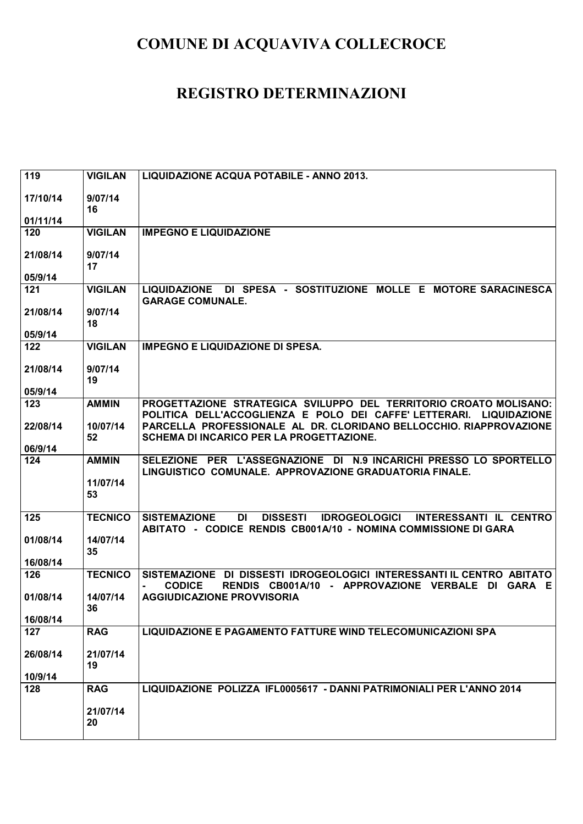| 119      | <b>VIGILAN</b> | LIQUIDAZIONE ACQUA POTABILE - ANNO 2013.                                                                                                                         |
|----------|----------------|------------------------------------------------------------------------------------------------------------------------------------------------------------------|
| 17/10/14 | 9/07/14<br>16  |                                                                                                                                                                  |
| 01/11/14 |                |                                                                                                                                                                  |
| 120      | <b>VIGILAN</b> | <b>IMPEGNO E LIQUIDAZIONE</b>                                                                                                                                    |
| 21/08/14 | 9/07/14<br>17  |                                                                                                                                                                  |
| 05/9/14  |                |                                                                                                                                                                  |
| 121      | <b>VIGILAN</b> | DI SPESA - SOSTITUZIONE MOLLE E MOTORE SARACINESCA<br><b>LIQUIDAZIONE</b><br><b>GARAGE COMUNALE.</b>                                                             |
| 21/08/14 | 9/07/14<br>18  |                                                                                                                                                                  |
| 05/9/14  |                |                                                                                                                                                                  |
| 122      | <b>VIGILAN</b> | <b>IMPEGNO E LIQUIDAZIONE DI SPESA.</b>                                                                                                                          |
| 21/08/14 | 9/07/14<br>19  |                                                                                                                                                                  |
| 05/9/14  |                |                                                                                                                                                                  |
| 123      | <b>AMMIN</b>   | PROGETTAZIONE STRATEGICA SVILUPPO DEL TERRITORIO CROATO MOLISANO:<br>POLITICA DELL'ACCOGLIENZA E POLO DEI CAFFE' LETTERARI. LIQUIDAZIONE                         |
| 22/08/14 | 10/07/14<br>52 | PARCELLA PROFESSIONALE AL DR. CLORIDANO BELLOCCHIO. RIAPPROVAZIONE<br>SCHEMA DI INCARICO PER LA PROGETTAZIONE.                                                   |
| 06/9/14  |                |                                                                                                                                                                  |
| 124      | <b>AMMIN</b>   | SELEZIONE PER L'ASSEGNAZIONE DI N.9 INCARICHI PRESSO LO SPORTELLO<br>LINGUISTICO COMUNALE. APPROVAZIONE GRADUATORIA FINALE.                                      |
|          | 11/07/14<br>53 |                                                                                                                                                                  |
| 125      | <b>TECNICO</b> | <b>SISTEMAZIONE</b><br>DI<br><b>DISSESTI</b><br><b>IDROGEOLOGICI</b><br>INTERESSANTI IL CENTRO<br>ABITATO - CODICE RENDIS CB001A/10 - NOMINA COMMISSIONE DI GARA |
| 01/08/14 | 14/07/14<br>35 |                                                                                                                                                                  |
| 16/08/14 |                |                                                                                                                                                                  |
| 126      | <b>TECNICO</b> | SISTEMAZIONE DI DISSESTI IDROGEOLOGICI INTERESSANTI IL CENTRO ABITATO<br><b>CODICE</b><br>RENDIS CB001A/10<br>- APPROVAZIONE VERBALE<br>DI GARA E                |
| 01/08/14 | 14/07/14<br>36 | <b>AGGIUDICAZIONE PROVVISORIA</b>                                                                                                                                |
| 16/08/14 |                |                                                                                                                                                                  |
| 127      | <b>RAG</b>     | LIQUIDAZIONE E PAGAMENTO FATTURE WIND TELECOMUNICAZIONI SPA                                                                                                      |
| 26/08/14 | 21/07/14<br>19 |                                                                                                                                                                  |
| 10/9/14  |                |                                                                                                                                                                  |
| 128      | <b>RAG</b>     | LIQUIDAZIONE POLIZZA IFL0005617 - DANNI PATRIMONIALI PER L'ANNO 2014                                                                                             |
|          | 21/07/14<br>20 |                                                                                                                                                                  |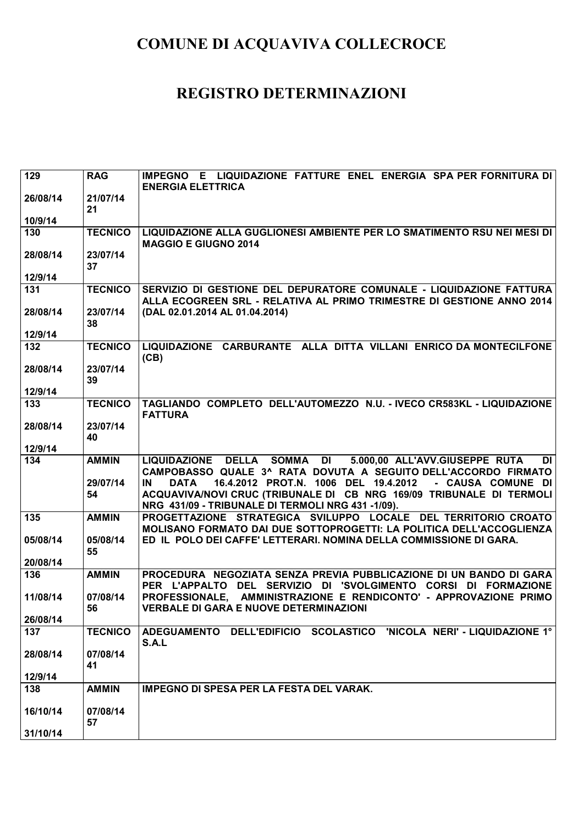| 129      | <b>RAG</b>     | IMPEGNO E LIQUIDAZIONE FATTURE ENEL ENERGIA SPA PER FORNITURA DI<br><b>ENERGIA ELETTRICA</b>                                                    |
|----------|----------------|-------------------------------------------------------------------------------------------------------------------------------------------------|
| 26/08/14 | 21/07/14<br>21 |                                                                                                                                                 |
| 10/9/14  |                |                                                                                                                                                 |
| 130      | <b>TECNICO</b> | LIQUIDAZIONE ALLA GUGLIONESI AMBIENTE PER LO SMATIMENTO RSU NEI MESI DI<br><b>MAGGIO E GIUGNO 2014</b>                                          |
| 28/08/14 | 23/07/14<br>37 |                                                                                                                                                 |
| 12/9/14  |                |                                                                                                                                                 |
| 131      | <b>TECNICO</b> | SERVIZIO DI GESTIONE DEL DEPURATORE COMUNALE - LIQUIDAZIONE FATTURA<br>ALLA ECOGREEN SRL - RELATIVA AL PRIMO TRIMESTRE DI GESTIONE ANNO 2014    |
| 28/08/14 | 23/07/14<br>38 | (DAL 02.01.2014 AL 01.04.2014)                                                                                                                  |
| 12/9/14  |                |                                                                                                                                                 |
| 132      | <b>TECNICO</b> | LIQUIDAZIONE CARBURANTE ALLA DITTA VILLANI ENRICO DA MONTECILFONE<br>(CB)                                                                       |
| 28/08/14 | 23/07/14<br>39 |                                                                                                                                                 |
| 12/9/14  |                |                                                                                                                                                 |
| 133      | <b>TECNICO</b> | TAGLIANDO COMPLETO DELL'AUTOMEZZO N.U. - IVECO CR583KL - LIQUIDAZIONE<br><b>FATTURA</b>                                                         |
| 28/08/14 | 23/07/14       |                                                                                                                                                 |
|          | 40             |                                                                                                                                                 |
| 12/9/14  |                |                                                                                                                                                 |
|          |                |                                                                                                                                                 |
| 134      | <b>AMMIN</b>   | 5.000,00 ALL'AVV.GIUSEPPE RUTA<br>SOMMA DI<br>LIQUIDAZIONE DELLA<br><b>DI</b><br>CAMPOBASSO QUALE 3^ RATA DOVUTA A SEGUITO DELL'ACCORDO FIRMATO |
|          | 29/07/14       | 16.4.2012 PROT.N. 1006 DEL 19.4.2012<br>- CAUSA COMUNE DI<br><b>DATA</b><br>IN                                                                  |
|          | 54             | ACQUAVIVA/NOVI CRUC (TRIBUNALE DI CB NRG 169/09 TRIBUNALE DI TERMOLI)<br>NRG 431/09 - TRIBUNALE DI TERMOLI NRG 431 -1/09).                      |
| 135      | <b>AMMIN</b>   | PROGETTAZIONE STRATEGICA SVILUPPO LOCALE DEL TERRITORIO CROATO<br>MOLISANO FORMATO DAI DUE SOTTOPROGETTI: LA POLITICA DELL'ACCOGLIENZA          |
| 05/08/14 | 05/08/14<br>55 | ED IL POLO DEI CAFFE' LETTERARI. NOMINA DELLA COMMISSIONE DI GARA.                                                                              |
| 20/08/14 |                |                                                                                                                                                 |
| 136      | <b>AMMIN</b>   | PROCEDURA NEGOZIATA SENZA PREVIA PUBBLICAZIONE DI UN BANDO DI GARA<br>DEL SERVIZIO DI 'SVOLGIMENTO CORSI DI FORMAZIONE<br>PER L'APPALTO         |
| 11/08/14 | 07/08/14<br>56 | AMMINISTRAZIONE E RENDICONTO' - APPROVAZIONE PRIMO<br>PROFESSIONALE,<br><b>VERBALE DI GARA E NUOVE DETERMINAZIONI</b>                           |
| 26/08/14 |                |                                                                                                                                                 |
| 137      | <b>TECNICO</b> | ADEGUAMENTO DELL'EDIFICIO SCOLASTICO 'NICOLA NERI' - LIQUIDAZIONE 1°<br>S.A.L                                                                   |
| 28/08/14 | 07/08/14<br>41 |                                                                                                                                                 |
| 12/9/14  |                |                                                                                                                                                 |
| 138      | <b>AMMIN</b>   | IMPEGNO DI SPESA PER LA FESTA DEL VARAK.                                                                                                        |
| 16/10/14 | 07/08/14<br>57 |                                                                                                                                                 |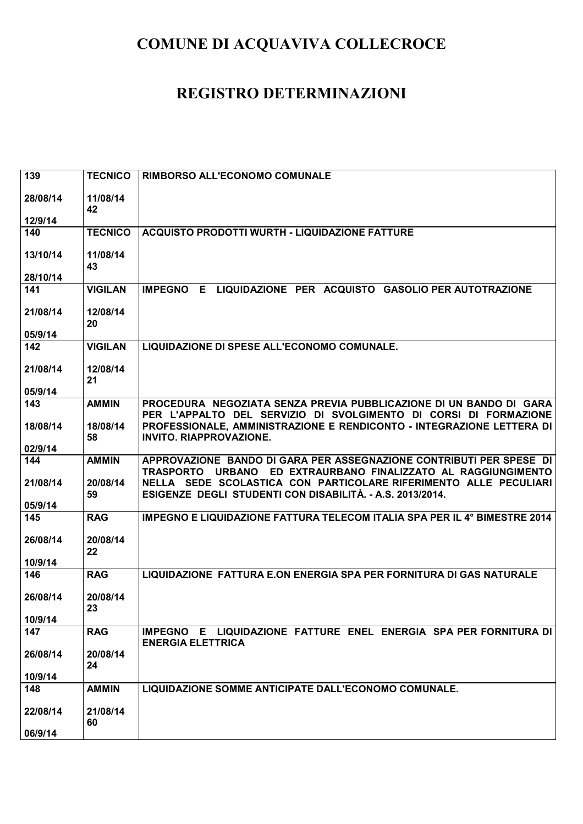| 139            | <b>TECNICO</b> | <b>RIMBORSO ALL'ECONOMO COMUNALE</b>                                                         |
|----------------|----------------|----------------------------------------------------------------------------------------------|
|                |                |                                                                                              |
| 28/08/14       | 11/08/14<br>42 |                                                                                              |
| 12/9/14        |                |                                                                                              |
| 140            | <b>TECNICO</b> | <b>ACQUISTO PRODOTTI WURTH - LIQUIDAZIONE FATTURE</b>                                        |
|                |                |                                                                                              |
| 13/10/14       | 11/08/14       |                                                                                              |
|                | 43             |                                                                                              |
| 28/10/14       |                | LIQUIDAZIONE PER ACQUISTO GASOLIO PER AUTOTRAZIONE<br>E.                                     |
| 141            | <b>VIGILAN</b> | <b>IMPEGNO</b>                                                                               |
| 21/08/14       | 12/08/14       |                                                                                              |
|                | 20             |                                                                                              |
| 05/9/14        |                |                                                                                              |
| 142            | <b>VIGILAN</b> | LIQUIDAZIONE DI SPESE ALL'ECONOMO COMUNALE.                                                  |
|                |                |                                                                                              |
| 21/08/14       | 12/08/14<br>21 |                                                                                              |
| 05/9/14        |                |                                                                                              |
| 143            | <b>AMMIN</b>   | PROCEDURA NEGOZIATA SENZA PREVIA PUBBLICAZIONE DI UN BANDO DI GARA                           |
|                |                | PER L'APPALTO DEL SERVIZIO DI SVOLGIMENTO DI CORSI DI FORMAZIONE                             |
| 18/08/14       | 18/08/14       | PROFESSIONALE, AMMINISTRAZIONE E RENDICONTO - INTEGRAZIONE LETTERA DI                        |
|                | 58             | <b>INVITO. RIAPPROVAZIONE.</b>                                                               |
| 02/9/14<br>144 | <b>AMMIN</b>   | APPROVAZIONE BANDO DI GARA PER ASSEGNAZIONE CONTRIBUTI PER SPESE DI                          |
|                |                | TRASPORTO URBANO ED EXTRAURBANO FINALIZZATO AL RAGGIUNGIMENTO                                |
| 21/08/14       | 20/08/14       | NELLA SEDE SCOLASTICA CON PARTICOLARE RIFERIMENTO ALLE PECULIARI                             |
|                | 59             | ESIGENZE DEGLI STUDENTI CON DISABILITÀ. - A.S. 2013/2014.                                    |
|                |                |                                                                                              |
| 05/9/14        |                |                                                                                              |
| 145            | <b>RAG</b>     | IMPEGNO E LIQUIDAZIONE FATTURA TELECOM ITALIA SPA PER IL 4° BIMESTRE 2014                    |
|                |                |                                                                                              |
| 26/08/14       | 20/08/14       |                                                                                              |
| 10/9/14        | 22             |                                                                                              |
| 146            | <b>RAG</b>     | LIQUIDAZIONE FATTURA E.ON ENERGIA SPA PER FORNITURA DI GAS NATURALE                          |
|                |                |                                                                                              |
| 26/08/14       | 20/08/14       |                                                                                              |
|                | 23             |                                                                                              |
| 10/9/14        |                |                                                                                              |
| 147            | <b>RAG</b>     | IMPEGNO E LIQUIDAZIONE FATTURE ENEL ENERGIA SPA PER FORNITURA DI<br><b>ENERGIA ELETTRICA</b> |
| 26/08/14       | 20/08/14       |                                                                                              |
|                | 24             |                                                                                              |
| 10/9/14        |                |                                                                                              |
| 148            | <b>AMMIN</b>   | LIQUIDAZIONE SOMME ANTICIPATE DALL'ECONOMO COMUNALE.                                         |
|                |                |                                                                                              |
| 22/08/14       | 21/08/14<br>60 |                                                                                              |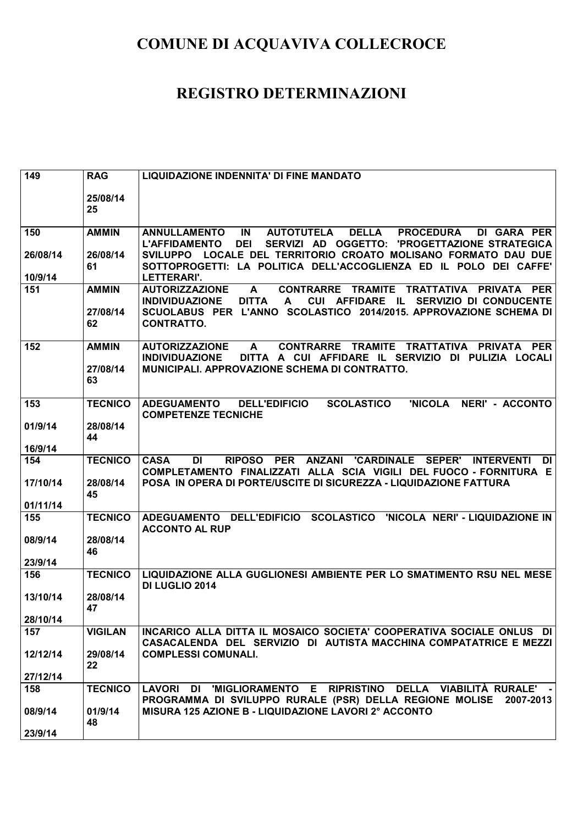| 149                 | <b>RAG</b>               | <b>LIQUIDAZIONE INDENNITA' DI FINE MANDATO</b>                                                                                                                                                                                       |
|---------------------|--------------------------|--------------------------------------------------------------------------------------------------------------------------------------------------------------------------------------------------------------------------------------|
|                     | 25/08/14<br>25           |                                                                                                                                                                                                                                      |
| 150                 | <b>AMMIN</b>             | IN<br><b>DELLA</b><br><b>ANNULLAMENTO</b><br><b>AUTOTUTELA</b><br><b>PROCEDURA</b><br>DI GARA PER<br><b>L'AFFIDAMENTO</b><br><b>DEI</b><br>SERVIZI AD OGGETTO:<br>'PROGETTAZIONE STRATEGICA                                          |
| 26/08/14<br>10/9/14 | 26/08/14<br>61           | LOCALE DEL TERRITORIO CROATO MOLISANO FORMATO DAU DUE<br><b>SVILUPPO</b><br>SOTTOPROGETTI: LA POLITICA DELL'ACCOGLIENZA ED IL POLO DEI CAFFE'<br><b>LETTERARI'.</b>                                                                  |
| 151                 | <b>AMMIN</b>             | <b>AUTORIZZAZIONE</b><br><b>CONTRARRE</b><br>A<br><b>TRAMITE</b><br><b>TRATTATIVA</b><br><b>PRIVATA</b><br><b>PER</b>                                                                                                                |
|                     | 27/08/14<br>62           | <b>INDIVIDUAZIONE</b><br><b>DITTA</b><br><b>CUI</b><br><b>AFFIDARE</b><br>- IL<br>SERVIZIO DI CONDUCENTE<br>A<br>SCUOLABUS PER L'ANNO<br>SCOLASTICO 2014/2015. APPROVAZIONE SCHEMA DI<br><b>CONTRATTO.</b>                           |
| 152                 | <b>AMMIN</b><br>27/08/14 | <b>AUTORIZZAZIONE</b><br><b>CONTRARRE</b><br><b>TRAMITE</b><br>TRATTATIVA<br>PRIVATA PER<br>A<br>DITTA A CUI AFFIDARE IL SERVIZIO DI PULIZIA LOCALI<br><b>INDIVIDUAZIONE</b><br><b>MUNICIPALI. APPROVAZIONE SCHEMA DI CONTRATTO.</b> |
|                     | 63                       |                                                                                                                                                                                                                                      |
| 153                 | <b>TECNICO</b>           | <b>DELL'EDIFICIO</b><br><b>SCOLASTICO</b><br>'NICOLA<br>NERI' - ACCONTO<br><b>ADEGUAMENTO</b><br><b>COMPETENZE TECNICHE</b>                                                                                                          |
| 01/9/14             | 28/08/14<br>44           |                                                                                                                                                                                                                                      |
| 16/9/14             |                          |                                                                                                                                                                                                                                      |
| 154                 | <b>TECNICO</b>           | <b>RIPOSO</b><br><b>PER</b><br><b>ANZANI</b><br><b>CASA</b><br><b>DI</b><br><b>'CARDINALE</b><br><b>SEPER'</b><br><b>INTERVENTI</b><br>DI<br>COMPLETAMENTO FINALIZZATI ALLA SCIA VIGILI DEL FUOCO - FORNITURA E                      |
| 17/10/14            | 28/08/14<br>45           | POSA IN OPERA DI PORTE/USCITE DI SICUREZZA - LIQUIDAZIONE FATTURA                                                                                                                                                                    |
| 01/11/14<br>155     | <b>TECNICO</b>           | ADEGUAMENTO DELL'EDIFICIO SCOLASTICO<br>'NICOLA NERI' - LIQUIDAZIONE IN                                                                                                                                                              |
|                     |                          | <b>ACCONTO AL RUP</b>                                                                                                                                                                                                                |
| 08/9/14             | 28/08/14<br>46           |                                                                                                                                                                                                                                      |
| 23/9/14             |                          |                                                                                                                                                                                                                                      |
| 156                 | <b>TECNICO</b>           | LIQUIDAZIONE ALLA GUGLIONESI AMBIENTE PER LO SMATIMENTO RSU NEL MESE<br>DI LUGLIO 2014                                                                                                                                               |
| 13/10/14            | 28/08/14<br>47           |                                                                                                                                                                                                                                      |
| 28/10/14            |                          |                                                                                                                                                                                                                                      |
| 157                 | <b>VIGILAN</b>           | INCARICO ALLA DITTA IL MOSAICO SOCIETA' COOPERATIVA SOCIALE ONLUS DI<br>CASACALENDA DEL SERVIZIO DI AUTISTA MACCHINA COMPATATRICE E MEZZI                                                                                            |
| 12/12/14            | 29/08/14<br>22           | <b>COMPLESSI COMUNALI.</b>                                                                                                                                                                                                           |
| 27/12/14            |                          |                                                                                                                                                                                                                                      |
| 158                 | <b>TECNICO</b>           | LAVORI DI 'MIGLIORAMENTO E RIPRISTINO DELLA VIABILITÀ RURALE'<br>PROGRAMMA DI SVILUPPO RURALE (PSR) DELLA REGIONE MOLISE 2007-2013                                                                                                   |
| 08/9/14<br>23/9/14  | 01/9/14<br>48            | MISURA 125 AZIONE B - LIQUIDAZIONE LAVORI 2º ACCONTO                                                                                                                                                                                 |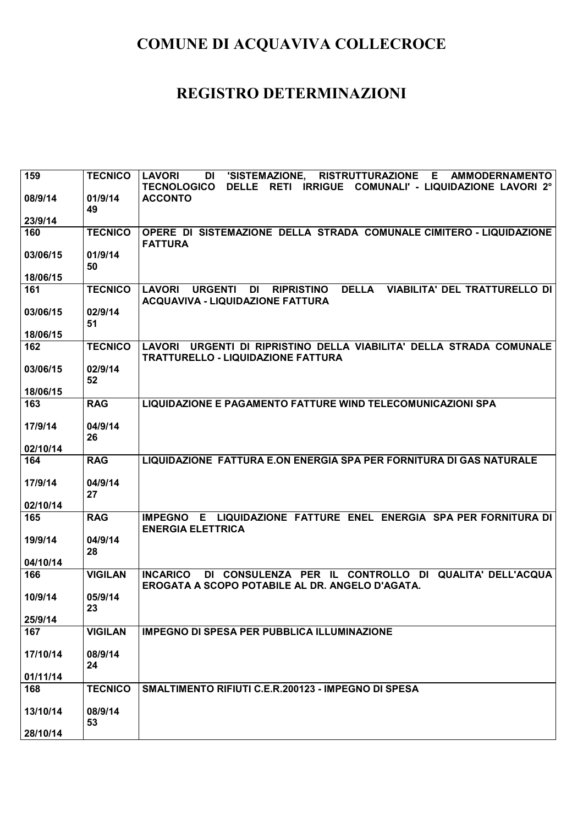| 159      | <b>TECNICO</b> | <b>RISTRUTTURAZIONE E</b><br><b>LAVORI</b><br>'SISTEMAZIONE,<br><b>AMMODERNAMENTO</b><br>DI<br>RETI IRRIGUE COMUNALI' - LIQUIDAZIONE LAVORI 2°<br><b>TECNOLOGICO</b><br><b>DELLE</b> |
|----------|----------------|--------------------------------------------------------------------------------------------------------------------------------------------------------------------------------------|
| 08/9/14  | 01/9/14<br>49  | <b>ACCONTO</b>                                                                                                                                                                       |
| 23/9/14  |                |                                                                                                                                                                                      |
| 160      | <b>TECNICO</b> | OPERE DI SISTEMAZIONE DELLA STRADA COMUNALE CIMITERO - LIQUIDAZIONE<br><b>FATTURA</b>                                                                                                |
| 03/06/15 | 01/9/14<br>50  |                                                                                                                                                                                      |
| 18/06/15 |                |                                                                                                                                                                                      |
| 161      | <b>TECNICO</b> | <b>RIPRISTINO</b><br><b>DELLA</b><br><b>VIABILITA' DEL TRATTURELLO DI</b><br><b>LAVORI</b><br><b>URGENTI</b><br>DI<br><b>ACQUAVIVA - LIQUIDAZIONE FATTURA</b>                        |
| 03/06/15 | 02/9/14<br>51  |                                                                                                                                                                                      |
| 18/06/15 |                |                                                                                                                                                                                      |
| 162      | <b>TECNICO</b> | LAVORI URGENTI DI RIPRISTINO DELLA VIABILITA' DELLA STRADA COMUNALE<br><b>TRATTURELLO - LIQUIDAZIONE FATTURA</b>                                                                     |
| 03/06/15 | 02/9/14<br>52  |                                                                                                                                                                                      |
| 18/06/15 |                |                                                                                                                                                                                      |
| 163      | <b>RAG</b>     | LIQUIDAZIONE E PAGAMENTO FATTURE WIND TELECOMUNICAZIONI SPA                                                                                                                          |
| 17/9/14  | 04/9/14<br>26  |                                                                                                                                                                                      |
| 02/10/14 |                |                                                                                                                                                                                      |
| 164      | <b>RAG</b>     | LIQUIDAZIONE FATTURA E.ON ENERGIA SPA PER FORNITURA DI GAS NATURALE                                                                                                                  |
| 17/9/14  | 04/9/14<br>27  |                                                                                                                                                                                      |
| 02/10/14 |                |                                                                                                                                                                                      |
| 165      | <b>RAG</b>     | IMPEGNO E LIQUIDAZIONE FATTURE ENEL ENERGIA SPA PER FORNITURA DI<br><b>ENERGIA ELETTRICA</b>                                                                                         |
| 19/9/14  | 04/9/14<br>28  |                                                                                                                                                                                      |
| 04/10/14 |                |                                                                                                                                                                                      |
| 166      | <b>VIGILAN</b> | DI CONSULENZA PER IL CONTROLLO DI QUALITA' DELL'ACQUA<br><b>INCARICO</b><br>EROGATA A SCOPO POTABILE AL DR. ANGELO D'AGATA.                                                          |
| 10/9/14  | 05/9/14<br>23  |                                                                                                                                                                                      |
| 25/9/14  |                |                                                                                                                                                                                      |
| 167      | <b>VIGILAN</b> | <b>IMPEGNO DI SPESA PER PUBBLICA ILLUMINAZIONE</b>                                                                                                                                   |
| 17/10/14 | 08/9/14<br>24  |                                                                                                                                                                                      |
| 01/11/14 |                |                                                                                                                                                                                      |
| 168      | <b>TECNICO</b> | SMALTIMENTO RIFIUTI C.E.R.200123 - IMPEGNO DI SPESA                                                                                                                                  |
| 13/10/14 | 08/9/14<br>53  |                                                                                                                                                                                      |
| 28/10/14 |                |                                                                                                                                                                                      |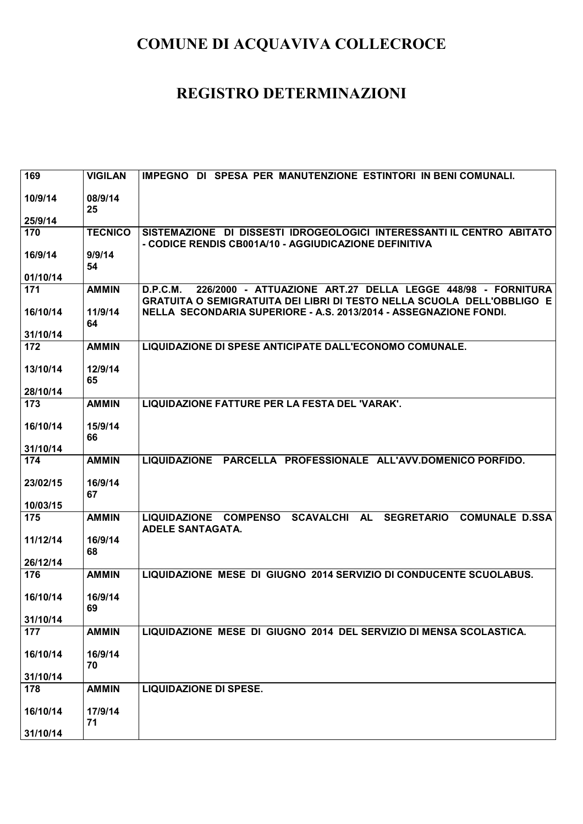| 169             | <b>VIGILAN</b>          | IMPEGNO DI SPESA PER MANUTENZIONE ESTINTORI IN BENI COMUNALI.                                                                                                                                                                 |
|-----------------|-------------------------|-------------------------------------------------------------------------------------------------------------------------------------------------------------------------------------------------------------------------------|
| 10/9/14         | 08/9/14<br>25           |                                                                                                                                                                                                                               |
| 25/9/14         |                         |                                                                                                                                                                                                                               |
| 170             | <b>TECNICO</b>          | SISTEMAZIONE DI DISSESTI IDROGEOLOGICI INTERESSANTI IL CENTRO ABITATO<br>- CODICE RENDIS CB001A/10 - AGGIUDICAZIONE DEFINITIVA                                                                                                |
| 16/9/14         | 9/9/14<br>54            |                                                                                                                                                                                                                               |
| 01/10/14        |                         |                                                                                                                                                                                                                               |
| 171<br>16/10/14 | <b>AMMIN</b><br>11/9/14 | 226/2000 - ATTUAZIONE ART.27 DELLA LEGGE 448/98 - FORNITURA<br>D.P.C.M.<br><b>GRATUITA O SEMIGRATUITA DEI LIBRI DI TESTO NELLA SCUOLA DELL'OBBLIGO E</b><br>NELLA SECONDARIA SUPERIORE - A.S. 2013/2014 - ASSEGNAZIONE FONDI. |
| 31/10/14        | 64                      |                                                                                                                                                                                                                               |
| 172             | <b>AMMIN</b>            | LIQUIDAZIONE DI SPESE ANTICIPATE DALL'ECONOMO COMUNALE.                                                                                                                                                                       |
|                 |                         |                                                                                                                                                                                                                               |
| 13/10/14        | 12/9/14<br>65           |                                                                                                                                                                                                                               |
| 28/10/14        |                         |                                                                                                                                                                                                                               |
| 173             | <b>AMMIN</b>            | LIQUIDAZIONE FATTURE PER LA FESTA DEL 'VARAK'.                                                                                                                                                                                |
| 16/10/14        | 15/9/14<br>66           |                                                                                                                                                                                                                               |
| 31/10/14        |                         |                                                                                                                                                                                                                               |
| 174             | <b>AMMIN</b>            | LIQUIDAZIONE PARCELLA PROFESSIONALE ALL'AVV.DOMENICO PORFIDO.                                                                                                                                                                 |
| 23/02/15        | 16/9/14<br>67           |                                                                                                                                                                                                                               |
| 10/03/15        |                         |                                                                                                                                                                                                                               |
| 175             | <b>AMMIN</b>            | SCAVALCHI AL<br>LIQUIDAZIONE COMPENSO<br><b>SEGRETARIO</b><br><b>COMUNALE D.SSA</b><br><b>ADELE SANTAGATA.</b>                                                                                                                |
| 11/12/14        | 16/9/14<br>68           |                                                                                                                                                                                                                               |
| 26/12/14        |                         |                                                                                                                                                                                                                               |
| 176             | <b>AMMIN</b>            | LIQUIDAZIONE MESE DI GIUGNO 2014 SERVIZIO DI CONDUCENTE SCUOLABUS.                                                                                                                                                            |
| 16/10/14        | 16/9/14<br>69           |                                                                                                                                                                                                                               |
| 31/10/14        |                         |                                                                                                                                                                                                                               |
| 177             | <b>AMMIN</b>            | LIQUIDAZIONE MESE DI GIUGNO 2014 DEL SERVIZIO DI MENSA SCOLASTICA.                                                                                                                                                            |
| 16/10/14        | 16/9/14<br>70           |                                                                                                                                                                                                                               |
| 31/10/14        |                         |                                                                                                                                                                                                                               |
| 178             | <b>AMMIN</b>            | <b>LIQUIDAZIONE DI SPESE.</b>                                                                                                                                                                                                 |
| 16/10/14        | 17/9/14<br>71           |                                                                                                                                                                                                                               |
| 31/10/14        |                         |                                                                                                                                                                                                                               |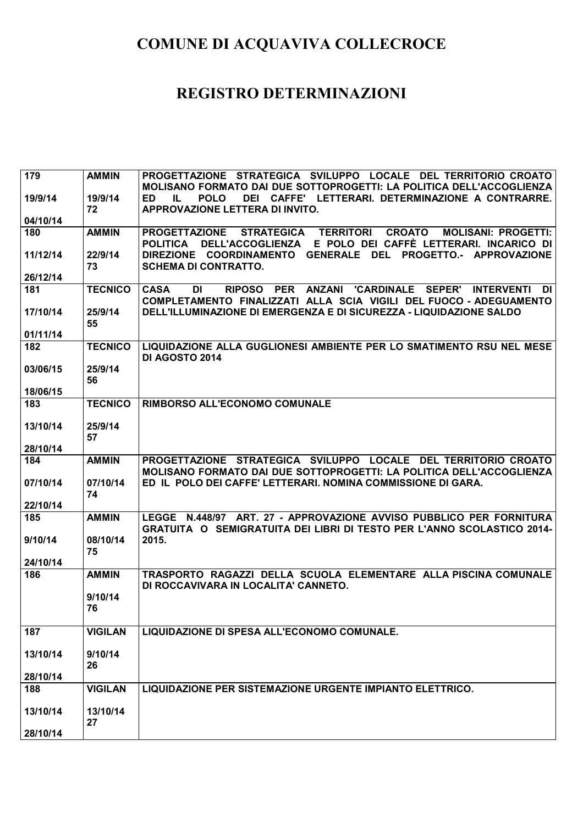| 179      | <b>AMMIN</b>   | PROGETTAZIONE STRATEGICA SVILUPPO LOCALE DEL TERRITORIO CROATO                                                                                           |
|----------|----------------|----------------------------------------------------------------------------------------------------------------------------------------------------------|
| 19/9/14  | 19/9/14        | MOLISANO FORMATO DAI DUE SOTTOPROGETTI: LA POLITICA DELL'ACCOGLIENZA<br><b>POLO</b><br>CAFFE' LETTERARI. DETERMINAZIONE A CONTRARRE.<br>ED.<br>IL<br>DEI |
|          | 72             | APPROVAZIONE LETTERA DI INVITO.                                                                                                                          |
| 04/10/14 |                |                                                                                                                                                          |
| 180      | <b>AMMIN</b>   | <b>TERRITORI</b><br><b>CROATO</b><br><b>MOLISANI: PROGETTI:</b><br><b>PROGETTAZIONE</b><br><b>STRATEGICA</b>                                             |
|          |                | E POLO DEI CAFFÈ LETTERARI. INCARICO DI<br><b>POLITICA</b><br><b>DELL'ACCOGLIENZA</b>                                                                    |
| 11/12/14 | 22/9/14<br>73  | DIREZIONE COORDINAMENTO GENERALE DEL PROGETTO.- APPROVAZIONE<br><b>SCHEMA DI CONTRATTO.</b>                                                              |
| 26/12/14 |                |                                                                                                                                                          |
| 181      | <b>TECNICO</b> | <b>CASA</b><br><b>DI</b><br><b>RIPOSO</b><br><b>PER</b><br><b>ANZANI</b><br><b>'CARDINALE</b><br><b>SEPER'</b><br><b>INTERVENTI</b><br>DII               |
|          |                | COMPLETAMENTO FINALIZZATI ALLA SCIA VIGILI DEL FUOCO - ADEGUAMENTO                                                                                       |
| 17/10/14 | 25/9/14        | DELL'ILLUMINAZIONE DI EMERGENZA E DI SICUREZZA - LIQUIDAZIONE SALDO                                                                                      |
|          | 55             |                                                                                                                                                          |
| 01/11/14 |                |                                                                                                                                                          |
| 182      | <b>TECNICO</b> | LIQUIDAZIONE ALLA GUGLIONESI AMBIENTE PER LO SMATIMENTO RSU NEL MESE<br><b>DI AGOSTO 2014</b>                                                            |
| 03/06/15 | 25/9/14        |                                                                                                                                                          |
|          | 56             |                                                                                                                                                          |
| 18/06/15 |                |                                                                                                                                                          |
| 183      | <b>TECNICO</b> | <b>RIMBORSO ALL'ECONOMO COMUNALE</b>                                                                                                                     |
| 13/10/14 | 25/9/14        |                                                                                                                                                          |
|          | 57             |                                                                                                                                                          |
| 28/10/14 |                |                                                                                                                                                          |
| 184      | <b>AMMIN</b>   | PROGETTAZIONE STRATEGICA SVILUPPO LOCALE DEL TERRITORIO CROATO<br>MOLISANO FORMATO DAI DUE SOTTOPROGETTI: LA POLITICA DELL'ACCOGLIENZA                   |
| 07/10/14 | 07/10/14       | ED IL POLO DEI CAFFE' LETTERARI. NOMINA COMMISSIONE DI GARA.                                                                                             |
|          | 74             |                                                                                                                                                          |
| 22/10/14 |                |                                                                                                                                                          |
| 185      | <b>AMMIN</b>   | LEGGE N.448/97 ART. 27 - APPROVAZIONE AVVISO PUBBLICO PER FORNITURA                                                                                      |
| 9/10/14  | 08/10/14       | <b>GRATUITA O SEMIGRATUITA DEI LIBRI DI TESTO PER L'ANNO SCOLASTICO 2014-1</b><br>2015.                                                                  |
|          | 75             |                                                                                                                                                          |
| 24/10/14 |                |                                                                                                                                                          |
| 186      | <b>AMMIN</b>   | TRASPORTO RAGAZZI DELLA SCUOLA ELEMENTARE ALLA PISCINA COMUNALE                                                                                          |
|          |                | DI ROCCAVIVARA IN LOCALITA' CANNETO.                                                                                                                     |
|          | 9/10/14        |                                                                                                                                                          |
|          | 76             |                                                                                                                                                          |
| 187      | <b>VIGILAN</b> | LIQUIDAZIONE DI SPESA ALL'ECONOMO COMUNALE.                                                                                                              |
|          |                |                                                                                                                                                          |
| 13/10/14 | 9/10/14        |                                                                                                                                                          |
|          | 26             |                                                                                                                                                          |
| 28/10/14 |                |                                                                                                                                                          |
|          |                |                                                                                                                                                          |
| 188      | <b>VIGILAN</b> | LIQUIDAZIONE PER SISTEMAZIONE URGENTE IMPIANTO ELETTRICO.                                                                                                |
|          |                |                                                                                                                                                          |
| 13/10/14 | 13/10/14<br>27 |                                                                                                                                                          |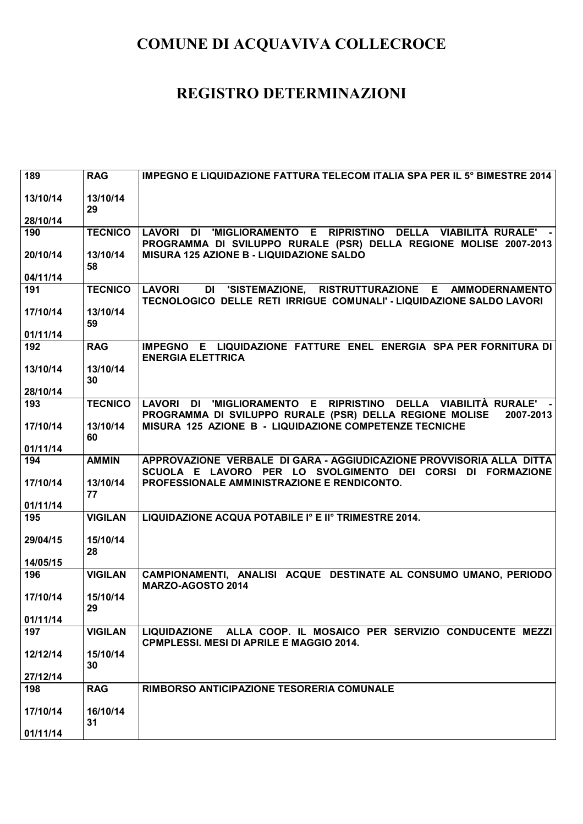| 189      | <b>RAG</b>     | IMPEGNO E LIQUIDAZIONE FATTURA TELECOM ITALIA SPA PER IL 5° BIMESTRE 2014                                                                    |
|----------|----------------|----------------------------------------------------------------------------------------------------------------------------------------------|
| 13/10/14 | 13/10/14<br>29 |                                                                                                                                              |
| 28/10/14 |                |                                                                                                                                              |
| 190      | <b>TECNICO</b> | LAVORI DI 'MIGLIORAMENTO E RIPRISTINO DELLA VIABILITÀ RURALE'<br>PROGRAMMA DI SVILUPPO RURALE (PSR) DELLA REGIONE MOLISE 2007-2013           |
| 20/10/14 | 13/10/14<br>58 | MISURA 125 AZIONE B - LIQUIDAZIONE SALDO                                                                                                     |
| 04/11/14 |                |                                                                                                                                              |
| 191      | <b>TECNICO</b> | DI 'SISTEMAZIONE, RISTRUTTURAZIONE E AMMODERNAMENTO<br><b>LAVORI</b><br>TECNOLOGICO DELLE RETI IRRIGUE COMUNALI' - LIQUIDAZIONE SALDO LAVORI |
| 17/10/14 | 13/10/14<br>59 |                                                                                                                                              |
| 01/11/14 |                |                                                                                                                                              |
| 192      | <b>RAG</b>     | IMPEGNO E LIQUIDAZIONE FATTURE ENEL ENERGIA SPA PER FORNITURA DI<br><b>ENERGIA ELETTRICA</b>                                                 |
| 13/10/14 | 13/10/14<br>30 |                                                                                                                                              |
| 28/10/14 |                |                                                                                                                                              |
| 193      | <b>TECNICO</b> | LAVORI DI 'MIGLIORAMENTO E RIPRISTINO DELLA VIABILITÀ�RURALE'<br>PROGRAMMA DI SVILUPPO RURALE (PSR) DELLA REGIONE MOLISE<br>2007-2013        |
| 17/10/14 | 13/10/14<br>60 | MISURA 125 AZIONE B - LIQUIDAZIONE COMPETENZE TECNICHE                                                                                       |
| 01/11/14 |                |                                                                                                                                              |
| 194      | <b>AMMIN</b>   | APPROVAZIONE VERBALE DI GARA - AGGIUDICAZIONE PROVVISORIA ALLA DITTA<br>SCUOLA E LAVORO PER LO SVOLGIMENTO DEI CORSI DI FORMAZIONE           |
| 17/10/14 | 13/10/14<br>77 | PROFESSIONALE AMMINISTRAZIONE E RENDICONTO.                                                                                                  |
| 01/11/14 |                |                                                                                                                                              |
| 195      | <b>VIGILAN</b> | LIQUIDAZIONE ACQUA POTABILE Iº E IIº TRIMESTRE 2014.                                                                                         |
| 29/04/15 | 15/10/14<br>28 |                                                                                                                                              |
| 14/05/15 |                |                                                                                                                                              |
| 196      | <b>VIGILAN</b> | CAMPIONAMENTI, ANALISI ACQUE DESTINATE AL CONSUMO UMANO, PERIODO<br>MARZO-AGOSTO 2014                                                        |
| 17/10/14 | 15/10/14<br>29 |                                                                                                                                              |
| 01/11/14 |                |                                                                                                                                              |
| 197      | <b>VIGILAN</b> | ALLA COOP. IL MOSAICO PER SERVIZIO CONDUCENTE MEZZI<br><b>LIQUIDAZIONE</b><br><b>CPMPLESSI. MESI DI APRILE E MAGGIO 2014.</b>                |
| 12/12/14 | 15/10/14<br>30 |                                                                                                                                              |
| 27/12/14 |                |                                                                                                                                              |
| 198      | <b>RAG</b>     | RIMBORSO ANTICIPAZIONE TESORERIA COMUNALE                                                                                                    |
| 17/10/14 | 16/10/14<br>31 |                                                                                                                                              |
| 01/11/14 |                |                                                                                                                                              |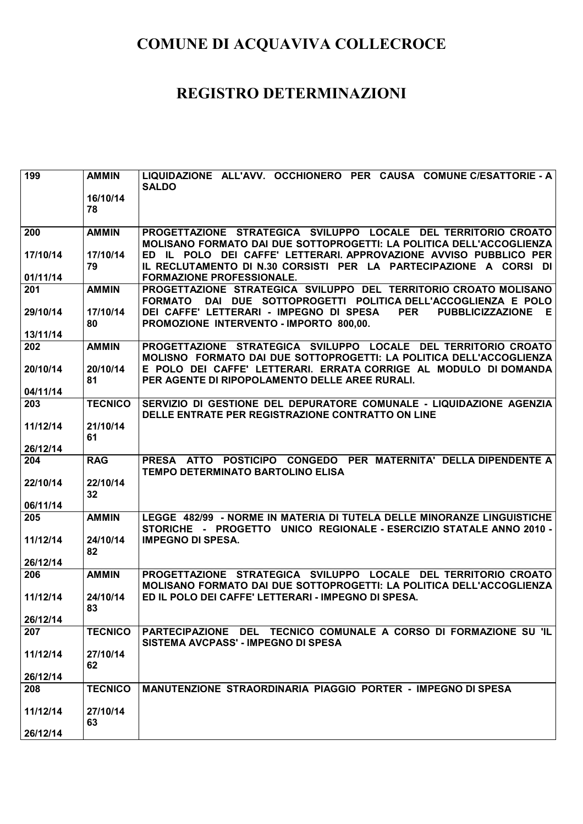| 199      | <b>AMMIN</b>   | LIQUIDAZIONE ALL'AVV. OCCHIONERO PER CAUSA COMUNE C/ESATTORIE - A<br><b>SALDO</b>                                                             |
|----------|----------------|-----------------------------------------------------------------------------------------------------------------------------------------------|
|          | 16/10/14       |                                                                                                                                               |
|          | 78             |                                                                                                                                               |
| 200      | <b>AMMIN</b>   | PROGETTAZIONE STRATEGICA SVILUPPO LOCALE DEL TERRITORIO CROATO                                                                                |
|          |                | MOLISANO FORMATO DAI DUE SOTTOPROGETTI: LA POLITICA DELL'ACCOGLIENZA                                                                          |
| 17/10/14 | 17/10/14       | ED IL POLO DEI CAFFE' LETTERARI. APPROVAZIONE AVVISO PUBBLICO PER                                                                             |
| 01/11/14 | 79             | IL RECLUTAMENTO DI N.30 CORSISTI PER LA PARTECIPAZIONE A CORSI<br>- DI I<br><b>FORMAZIONE PROFESSIONALE.</b>                                  |
| 201      | <b>AMMIN</b>   | PROGETTAZIONE STRATEGICA SVILUPPO DEL TERRITORIO CROATO MOLISANO                                                                              |
|          |                | DAI DUE SOTTOPROGETTI POLITICA DELL'ACCOGLIENZA E POLO<br><b>FORMATO</b>                                                                      |
| 29/10/14 | 17/10/14       | DEI CAFFE' LETTERARI - IMPEGNO DI SPESA<br><b>PER</b><br><b>PUBBLICIZZAZIONE</b><br>E.                                                        |
| 13/11/14 | 80             | PROMOZIONE INTERVENTO - IMPORTO 800,00.                                                                                                       |
| 202      | <b>AMMIN</b>   | PROGETTAZIONE STRATEGICA SVILUPPO LOCALE DEL TERRITORIO CROATO                                                                                |
|          |                | MOLISNO FORMATO DAI DUE SOTTOPROGETTI: LA POLITICA DELL'ACCOGLIENZA                                                                           |
| 20/10/14 | 20/10/14<br>81 | E POLO DEI CAFFE' LETTERARI. ERRATA CORRIGE AL MODULO DI DOMANDA<br>PER AGENTE DI RIPOPOLAMENTO DELLE AREE RURALI.                            |
| 04/11/14 |                |                                                                                                                                               |
| 203      | <b>TECNICO</b> | SERVIZIO DI GESTIONE DEL DEPURATORE COMUNALE - LIQUIDAZIONE AGENZIA                                                                           |
|          |                | DELLE ENTRATE PER REGISTRAZIONE CONTRATTO ON LINE                                                                                             |
| 11/12/14 | 21/10/14<br>61 |                                                                                                                                               |
| 26/12/14 |                |                                                                                                                                               |
| 204      | <b>RAG</b>     | PRESA ATTO POSTICIPO CONGEDO PER MATERNITA' DELLA DIPENDENTE A                                                                                |
| 22/10/14 | 22/10/14       | TEMPO DETERMINATO BARTOLINO ELISA                                                                                                             |
|          | 32             |                                                                                                                                               |
| 06/11/14 |                |                                                                                                                                               |
| 205      | <b>AMMIN</b>   | LEGGE 482/99 - NORME IN MATERIA DI TUTELA DELLE MINORANZE LINGUISTICHE<br>STORICHE - PROGETTO UNICO REGIONALE - ESERCIZIO STATALE ANNO 2010 - |
| 11/12/14 | 24/10/14       | <b>IMPEGNO DI SPESA.</b>                                                                                                                      |
|          | 82             |                                                                                                                                               |
| 26/12/14 |                |                                                                                                                                               |
| 206      | <b>AMMIN</b>   | PROGETTAZIONE STRATEGICA SVILUPPO LOCALE DEL TERRITORIO CROATO<br>MOLISANO FORMATO DAI DUE SOTTOPROGETTI: LA POLITICA DELL'ACCOGLIENZA        |
| 11/12/14 | 24/10/14       | ED IL POLO DEI CAFFE' LETTERARI - IMPEGNO DI SPESA.                                                                                           |
|          | 83             |                                                                                                                                               |
| 26/12/14 |                |                                                                                                                                               |
| 207      | <b>TECNICO</b> | PARTECIPAZIONE DEL TECNICO COMUNALE A CORSO DI FORMAZIONE SU 'IL<br>SISTEMA AVCPASS' - IMPEGNO DI SPESA                                       |
| 11/12/14 | 27/10/14       |                                                                                                                                               |
|          | 62             |                                                                                                                                               |
| 26/12/14 |                |                                                                                                                                               |
| 208      | <b>TECNICO</b> | MANUTENZIONE STRAORDINARIA PIAGGIO PORTER - IMPEGNO DI SPESA                                                                                  |
| 11/12/14 | 27/10/14       |                                                                                                                                               |
| 26/12/14 | 63             |                                                                                                                                               |
|          |                |                                                                                                                                               |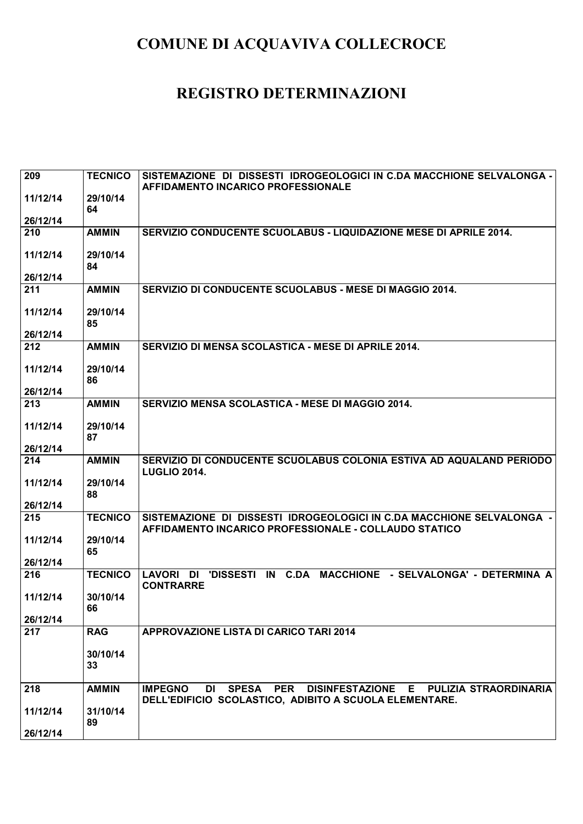| 209      | <b>TECNICO</b> | SISTEMAZIONE DI DISSESTI IDROGEOLOGICI IN C.DA MACCHIONE SELVALONGA -<br>AFFIDAMENTO INCARICO PROFESSIONALE                      |
|----------|----------------|----------------------------------------------------------------------------------------------------------------------------------|
| 11/12/14 | 29/10/14<br>64 |                                                                                                                                  |
| 26/12/14 |                |                                                                                                                                  |
| 210      | <b>AMMIN</b>   | SERVIZIO CONDUCENTE SCUOLABUS - LIQUIDAZIONE MESE DI APRILE 2014.                                                                |
| 11/12/14 | 29/10/14<br>84 |                                                                                                                                  |
| 26/12/14 |                |                                                                                                                                  |
| 211      | <b>AMMIN</b>   | SERVIZIO DI CONDUCENTE SCUOLABUS - MESE DI MAGGIO 2014.                                                                          |
| 11/12/14 | 29/10/14<br>85 |                                                                                                                                  |
| 26/12/14 |                |                                                                                                                                  |
| 212      | <b>AMMIN</b>   | SERVIZIO DI MENSA SCOLASTICA - MESE DI APRILE 2014.                                                                              |
| 11/12/14 | 29/10/14<br>86 |                                                                                                                                  |
| 26/12/14 |                |                                                                                                                                  |
| 213      | <b>AMMIN</b>   | SERVIZIO MENSA SCOLASTICA - MESE DI MAGGIO 2014.                                                                                 |
| 11/12/14 | 29/10/14<br>87 |                                                                                                                                  |
| 26/12/14 |                |                                                                                                                                  |
| 214      | <b>AMMIN</b>   | SERVIZIO DI CONDUCENTE SCUOLABUS COLONIA ESTIVA AD AQUALAND PERIODO<br><b>LUGLIO 2014.</b>                                       |
| 11/12/14 | 29/10/14<br>88 |                                                                                                                                  |
| 26/12/14 |                |                                                                                                                                  |
| 215      | <b>TECNICO</b> | SISTEMAZIONE DI DISSESTI IDROGEOLOGICI IN C.DA MACCHIONE SELVALONGA -<br>AFFIDAMENTO INCARICO PROFESSIONALE - COLLAUDO STATICO   |
| 11/12/14 | 29/10/14<br>65 |                                                                                                                                  |
| 26/12/14 |                |                                                                                                                                  |
| 216      | <b>TECNICO</b> | 'DISSESTI IN C.DA MACCHIONE - SELVALONGA' - DETERMINA A<br>LAVORI DI<br><b>CONTRARRE</b>                                         |
| 11/12/14 | 30/10/14<br>66 |                                                                                                                                  |
| 26/12/14 |                |                                                                                                                                  |
| 217      | <b>RAG</b>     | APPROVAZIONE LISTA DI CARICO TARI 2014                                                                                           |
|          | 30/10/14<br>33 |                                                                                                                                  |
| 218      | <b>AMMIN</b>   | DI SPESA PER DISINFESTAZIONE E PULIZIA STRAORDINARIA<br><b>IMPEGNO</b><br>DELL'EDIFICIO SCOLASTICO, ADIBITO A SCUOLA ELEMENTARE. |
| 11/12/14 | 31/10/14       |                                                                                                                                  |
| 26/12/14 | 89             |                                                                                                                                  |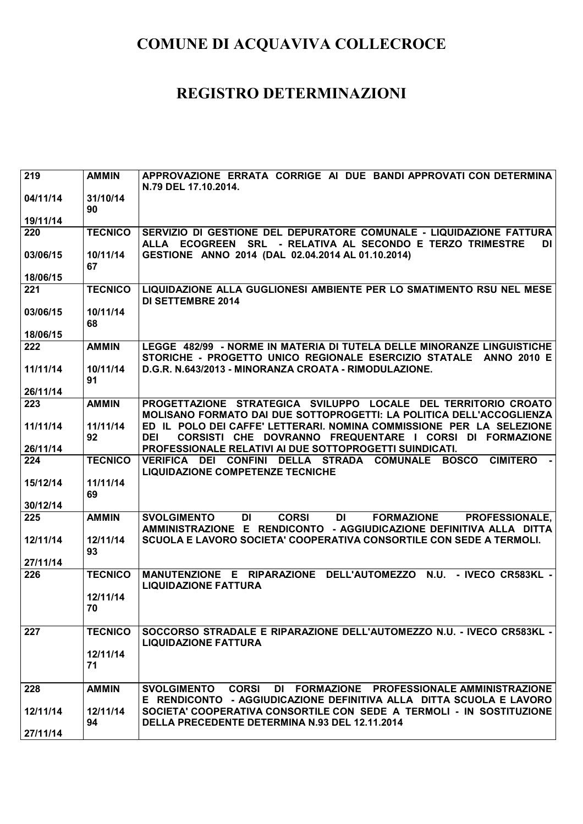| $\overline{219}$     | <b>AMMIN</b>   | APPROVAZIONE ERRATA CORRIGE AI DUE BANDI APPROVATI CON DETERMINA<br>N.79 DEL 17.10.2014.                                                                                   |
|----------------------|----------------|----------------------------------------------------------------------------------------------------------------------------------------------------------------------------|
| 04/11/14             | 31/10/14<br>90 |                                                                                                                                                                            |
| 19/11/14             |                |                                                                                                                                                                            |
| 220                  | <b>TECNICO</b> | SERVIZIO DI GESTIONE DEL DEPURATORE COMUNALE - LIQUIDAZIONE FATTURA<br>ALLA ECOGREEN SRL - RELATIVA AL SECONDO E TERZO TRIMESTRE<br>DI                                     |
| 03/06/15<br>18/06/15 | 10/11/14<br>67 | GESTIONE ANNO 2014 (DAL 02.04.2014 AL 01.10.2014)                                                                                                                          |
| 221                  | <b>TECNICO</b> | LIQUIDAZIONE ALLA GUGLIONESI AMBIENTE PER LO SMATIMENTO RSU NEL MESE                                                                                                       |
|                      |                | <b>DI SETTEMBRE 2014</b>                                                                                                                                                   |
| 03/06/15             | 10/11/14<br>68 |                                                                                                                                                                            |
| 18/06/15             |                |                                                                                                                                                                            |
| 222                  | <b>AMMIN</b>   | LEGGE 482/99 - NORME IN MATERIA DI TUTELA DELLE MINORANZE LINGUISTICHE<br>STORICHE - PROGETTO UNICO REGIONALE ESERCIZIO STATALE ANNO 2010 E                                |
| 11/11/14             | 10/11/14<br>91 | D.G.R. N.643/2013 - MINORANZA CROATA - RIMODULAZIONE.                                                                                                                      |
| 26/11/14             |                |                                                                                                                                                                            |
| 223                  | <b>AMMIN</b>   | PROGETTAZIONE STRATEGICA SVILUPPO LOCALE DEL TERRITORIO CROATO<br>MOLISANO FORMATO DAI DUE SOTTOPROGETTI: LA POLITICA DELL'ACCOGLIENZA                                     |
| 11/11/14             | 11/11/14<br>92 | ED IL POLO DEI CAFFE' LETTERARI. NOMINA COMMISSIONE PER LA SELEZIONE<br><b>DEI</b><br>CORSISTI CHE DOVRANNO FREQUENTARE I CORSI DI FORMAZIONE                              |
| 26/11/14             |                | PROFESSIONALE RELATIVI AI DUE SOTTOPROGETTI SUINDICATI.                                                                                                                    |
| 224                  | <b>TECNICO</b> | <b>VERIFICA DEI</b><br><b>CONFINI</b><br>DELLA STRADA COMUNALE<br><b>BOSCO</b><br><b>CIMITERO</b><br><b>LIQUIDAZIONE COMPETENZE TECNICHE</b>                               |
| 15/12/14             | 11/11/14<br>69 |                                                                                                                                                                            |
| 30/12/14             |                |                                                                                                                                                                            |
| 225                  | <b>AMMIN</b>   | <b>DI</b><br><b>CORSI</b><br>DI<br><b>SVOLGIMENTO</b><br><b>FORMAZIONE</b><br><b>PROFESSIONALE,</b><br>AMMINISTRAZIONE E RENDICONTO - AGGIUDICAZIONE DEFINITIVA ALLA DITTA |
| 12/11/14             | 12/11/14<br>93 | SCUOLA E LAVORO SOCIETA' COOPERATIVA CONSORTILE CON SEDE A TERMOLI.                                                                                                        |
| 27/11/14             |                |                                                                                                                                                                            |
| 226                  | <b>TECNICO</b> | MANUTENZIONE E RIPARAZIONE DELL'AUTOMEZZO N.U. - IVECO CR583KL -<br><b>LIQUIDAZIONE FATTURA</b>                                                                            |
|                      | 12/11/14<br>70 |                                                                                                                                                                            |
| 227                  | <b>TECNICO</b> | SOCCORSO STRADALE E RIPARAZIONE DELL'AUTOMEZZO N.U. - IVECO CR583KL -<br><b>LIQUIDAZIONE FATTURA</b>                                                                       |
|                      | 12/11/14<br>71 |                                                                                                                                                                            |
| 228                  | <b>AMMIN</b>   | <b>CORSI</b><br>DI FORMAZIONE PROFESSIONALE AMMINISTRAZIONE<br><b>SVOLGIMENTO</b><br>E RENDICONTO - AGGIUDICAZIONE DEFINITIVA ALLA DITTA SCUOLA E LAVORO                   |
| 12/11/14<br>27/11/14 | 12/11/14<br>94 | SOCIETA' COOPERATIVA CONSORTILE CON SEDE A TERMOLI - IN SOSTITUZIONE<br>DELLA PRECEDENTE DETERMINA N.93 DEL 12.11.2014                                                     |
|                      |                |                                                                                                                                                                            |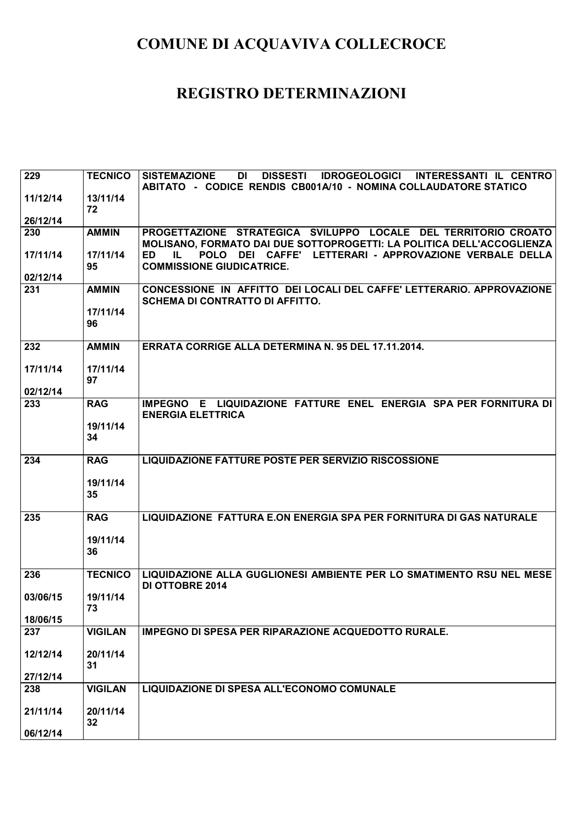| 229             | <b>TECNICO</b> | <b>DISSESTI</b><br>IDROGEOLOGICI INTERESSANTI IL CENTRO<br><b>SISTEMAZIONE</b><br>DI                                                    |
|-----------------|----------------|-----------------------------------------------------------------------------------------------------------------------------------------|
| 11/12/14        | 13/11/14       | ABITATO - CODICE RENDIS CB001A/10 - NOMINA COLLAUDATORE STATICO                                                                         |
|                 | 72             |                                                                                                                                         |
| 26/12/14        |                |                                                                                                                                         |
| 230             | <b>AMMIN</b>   | PROGETTAZIONE STRATEGICA SVILUPPO LOCALE DEL TERRITORIO CROATO<br>MOLISANO, FORMATO DAI DUE SOTTOPROGETTI: LA POLITICA DELL'ACCOGLIENZA |
| 17/11/14        | 17/11/14       | POLO DEI CAFFE' LETTERARI - APPROVAZIONE VERBALE DELLA<br><b>ED</b><br>IL.                                                              |
| 02/12/14        | 95             | <b>COMMISSIONE GIUDICATRICE.</b>                                                                                                        |
| 231             | <b>AMMIN</b>   | CONCESSIONE IN AFFITTO DEI LOCALI DEL CAFFE' LETTERARIO. APPROVAZIONE                                                                   |
|                 |                | <b>SCHEMA DI CONTRATTO DI AFFITTO.</b>                                                                                                  |
|                 | 17/11/14       |                                                                                                                                         |
|                 | 96             |                                                                                                                                         |
| 232             | <b>AMMIN</b>   | <b>ERRATA CORRIGE ALLA DETERMINA N. 95 DEL 17.11.2014.</b>                                                                              |
| 17/11/14        | 17/11/14       |                                                                                                                                         |
|                 | 97             |                                                                                                                                         |
| 02/12/14<br>233 | <b>RAG</b>     | IMPEGNO E LIQUIDAZIONE FATTURE ENEL ENERGIA SPA PER FORNITURA DI                                                                        |
|                 |                | <b>ENERGIA ELETTRICA</b>                                                                                                                |
|                 | 19/11/14       |                                                                                                                                         |
|                 | 34             |                                                                                                                                         |
| 234             | <b>RAG</b>     | <b>LIQUIDAZIONE FATTURE POSTE PER SERVIZIO RISCOSSIONE</b>                                                                              |
|                 |                |                                                                                                                                         |
|                 | 19/11/14       |                                                                                                                                         |
|                 | 35             |                                                                                                                                         |
| 235             | <b>RAG</b>     | LIQUIDAZIONE FATTURA E.ON ENERGIA SPA PER FORNITURA DI GAS NATURALE                                                                     |
|                 |                |                                                                                                                                         |
|                 | 19/11/14<br>36 |                                                                                                                                         |
|                 |                |                                                                                                                                         |
| 236             | <b>TECNICO</b> | LIQUIDAZIONE ALLA GUGLIONESI AMBIENTE PER LO SMATIMENTO RSU NEL MESE<br><b>DI OTTOBRE 2014</b>                                          |
| 03/06/15        | 19/11/14       |                                                                                                                                         |
| 18/06/15        | 73             |                                                                                                                                         |
| 237             | <b>VIGILAN</b> | <b>IMPEGNO DI SPESA PER RIPARAZIONE ACQUEDOTTO RURALE.</b>                                                                              |
|                 |                |                                                                                                                                         |
| 12/12/14        | 20/11/14       |                                                                                                                                         |
| 27/12/14        | 31             |                                                                                                                                         |
| 238             | <b>VIGILAN</b> | LIQUIDAZIONE DI SPESA ALL'ECONOMO COMUNALE                                                                                              |
|                 |                |                                                                                                                                         |
| 21/11/14        | 20/11/14<br>32 |                                                                                                                                         |
| 06/12/14        |                |                                                                                                                                         |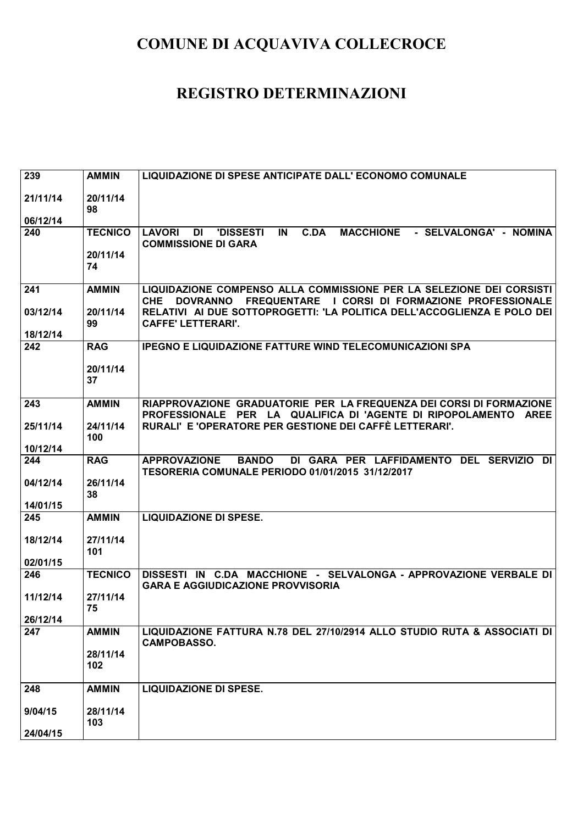| 239      | <b>AMMIN</b>    | LIQUIDAZIONE DI SPESE ANTICIPATE DALL' ECONOMO COMUNALE                                                                                        |
|----------|-----------------|------------------------------------------------------------------------------------------------------------------------------------------------|
| 21/11/14 | 20/11/14<br>98  |                                                                                                                                                |
| 06/12/14 |                 |                                                                                                                                                |
| 240      | <b>TECNICO</b>  | <b>C.DA</b><br><b>MACCHIONE</b><br>- SELVALONGA' - NOMINA<br><b>LAVORI</b><br>DI<br><b>'DISSESTI</b><br>IN<br><b>COMMISSIONE DI GARA</b>       |
|          | 20/11/14<br>74  |                                                                                                                                                |
| 241      | <b>AMMIN</b>    | LIQUIDAZIONE COMPENSO ALLA COMMISSIONE PER LA SELEZIONE DEI CORSISTI<br><b>CHE</b><br>DOVRANNO FREQUENTARE I CORSI DI FORMAZIONE PROFESSIONALE |
| 03/12/14 | 20/11/14<br>99  | RELATIVI AI DUE SOTTOPROGETTI: 'LA POLITICA DELL'ACCOGLIENZA E POLO DEI<br><b>CAFFE' LETTERARI'.</b>                                           |
| 18/12/14 |                 |                                                                                                                                                |
| 242      | <b>RAG</b>      | <b>IPEGNO E LIQUIDAZIONE FATTURE WIND TELECOMUNICAZIONI SPA</b>                                                                                |
|          | 20/11/14<br>37  |                                                                                                                                                |
| 243      | <b>AMMIN</b>    | RIAPPROVAZIONE GRADUATORIE PER LA FREQUENZA DEI CORSI DI FORMAZIONE<br>PROFESSIONALE PER LA QUALIFICA DI 'AGENTE DI RIPOPOLAMENTO AREE         |
| 25/11/14 | 24/11/14<br>100 | RURALI' E 'OPERATORE PER GESTIONE DEI CAFFÈ LETTERARI'.                                                                                        |
| 10/12/14 |                 |                                                                                                                                                |
| 244      | <b>RAG</b>      | <b>APPROVAZIONE</b><br><b>BANDO</b><br>DI GARA PER LAFFIDAMENTO DEL SERVIZIO<br>DI<br>TESORERIA COMUNALE PERIODO 01/01/2015 31/12/2017         |
| 04/12/14 | 26/11/14<br>38  |                                                                                                                                                |
| 14/01/15 |                 |                                                                                                                                                |
| 245      | <b>AMMIN</b>    | <b>LIQUIDAZIONE DI SPESE.</b>                                                                                                                  |
| 18/12/14 | 27/11/14<br>101 |                                                                                                                                                |
| 02/01/15 |                 |                                                                                                                                                |
| 246      | <b>TECNICO</b>  | DISSESTI IN C.DA MACCHIONE - SELVALONGA - APPROVAZIONE VERBALE DI<br><b>GARA E AGGIUDICAZIONE PROVVISORIA</b>                                  |
| 11/12/14 | 27/11/14<br>75  |                                                                                                                                                |
| 26/12/14 |                 |                                                                                                                                                |
| 247      | <b>AMMIN</b>    | LIQUIDAZIONE FATTURA N.78 DEL 27/10/2914 ALLO STUDIO RUTA & ASSOCIATI DI<br><b>CAMPOBASSO.</b>                                                 |
|          | 28/11/14<br>102 |                                                                                                                                                |
| 248      | <b>AMMIN</b>    | <b>LIQUIDAZIONE DI SPESE.</b>                                                                                                                  |
| 9/04/15  | 28/11/14<br>103 |                                                                                                                                                |
| 24/04/15 |                 |                                                                                                                                                |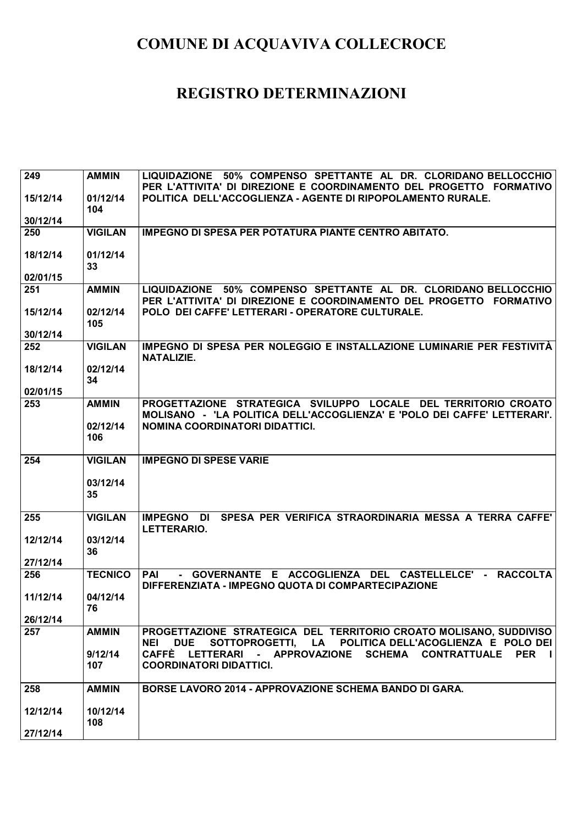| 249      | <b>AMMIN</b>   | LIQUIDAZIONE 50% COMPENSO SPETTANTE AL DR. CLORIDANO BELLOCCHIO                   |
|----------|----------------|-----------------------------------------------------------------------------------|
|          |                | PER L'ATTIVITA' DI DIREZIONE E COORDINAMENTO DEL PROGETTO FORMATIVO               |
| 15/12/14 | 01/12/14       | POLITICA DELL'ACCOGLIENZA - AGENTE DI RIPOPOLAMENTO RURALE.                       |
|          | 104            |                                                                                   |
| 30/12/14 |                |                                                                                   |
| 250      | <b>VIGILAN</b> | <b>IMPEGNO DI SPESA PER POTATURA PIANTE CENTRO ABITATO.</b>                       |
|          |                |                                                                                   |
| 18/12/14 | 01/12/14       |                                                                                   |
|          | 33             |                                                                                   |
| 02/01/15 |                |                                                                                   |
| 251      | <b>AMMIN</b>   | LIQUIDAZIONE 50% COMPENSO SPETTANTE AL DR. CLORIDANO BELLOCCHIO                   |
|          |                | PER L'ATTIVITA' DI DIREZIONE E COORDINAMENTO DEL PROGETTO FORMATIVO               |
| 15/12/14 | 02/12/14       | POLO DEI CAFFE' LETTERARI - OPERATORE CULTURALE.                                  |
|          | 105            |                                                                                   |
| 30/12/14 |                |                                                                                   |
| 252      | <b>VIGILAN</b> | IMPEGNO DI SPESA PER NOLEGGIO E INSTALLAZIONE LUMINARIE PER FESTIVITÀ             |
|          |                | NATALIZIE.                                                                        |
| 18/12/14 | 02/12/14       |                                                                                   |
|          | 34             |                                                                                   |
| 02/01/15 |                |                                                                                   |
| 253      | <b>AMMIN</b>   | PROGETTAZIONE STRATEGICA SVILUPPO LOCALE DEL TERRITORIO CROATO                    |
|          |                | MOLISANO - 'LA POLITICA DELL'ACCOGLIENZA' E 'POLO DEI CAFFE' LETTERARI'.          |
|          | 02/12/14       | NOMINA COORDINATORI DIDATTICI.                                                    |
|          | 106            |                                                                                   |
|          |                |                                                                                   |
|          |                |                                                                                   |
|          |                |                                                                                   |
| 254      | <b>VIGILAN</b> | <b>IMPEGNO DI SPESE VARIE</b>                                                     |
|          |                |                                                                                   |
|          | 03/12/14       |                                                                                   |
|          | 35             |                                                                                   |
|          |                |                                                                                   |
| 255      | <b>VIGILAN</b> | SPESA PER VERIFICA STRAORDINARIA MESSA A TERRA CAFFE'<br><b>IMPEGNO DI</b>        |
|          |                | LETTERARIO.                                                                       |
| 12/12/14 | 03/12/14       |                                                                                   |
|          | 36             |                                                                                   |
| 27/12/14 |                |                                                                                   |
| 256      | <b>TECNICO</b> | - GOVERNANTE E ACCOGLIENZA DEL CASTELLELCE' -<br>PAI<br><b>RACCOLTA</b>           |
|          |                | DIFFERENZIATA - IMPEGNO QUOTA DI COMPARTECIPAZIONE                                |
| 11/12/14 | 04/12/14       |                                                                                   |
|          | 76             |                                                                                   |
| 26/12/14 |                |                                                                                   |
| 257      | <b>AMMIN</b>   | PROGETTAZIONE STRATEGICA DEL TERRITORIO CROATO MOLISANO, SUDDIVISO                |
|          |                | SOTTOPROGETTI, LA POLITICA DELL'ACOGLIENZA E POLO DEI<br><b>DUE</b><br><b>NEI</b> |
|          | 9/12/14        | CAFFÈ LETTERARI<br>- APPROVAZIONE SCHEMA CONTRATTUALE PER I                       |
|          | 107            | <b>COORDINATORI DIDATTICI.</b>                                                    |
|          |                |                                                                                   |
| 258      | <b>AMMIN</b>   | <b>BORSE LAVORO 2014 - APPROVAZIONE SCHEMA BANDO DI GARA.</b>                     |
|          |                |                                                                                   |
| 12/12/14 | 10/12/14       |                                                                                   |
| 27/12/14 | 108            |                                                                                   |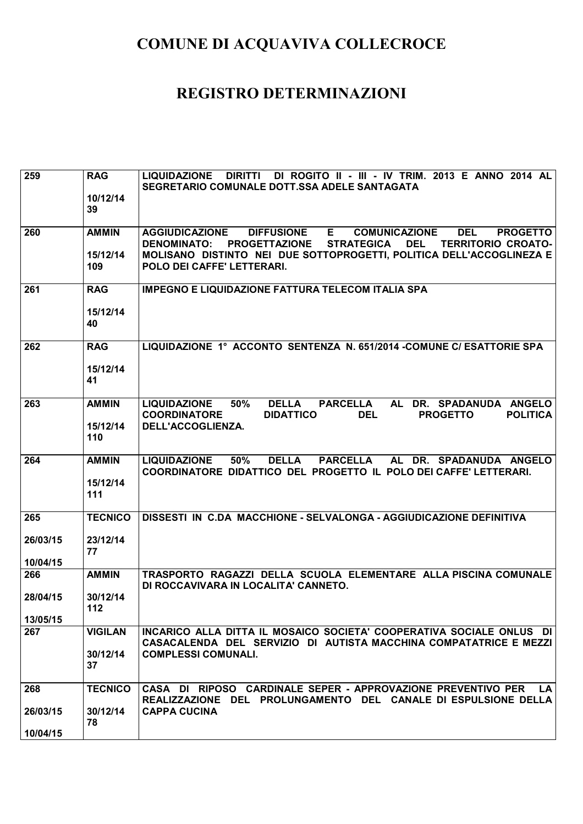|          |                | DI ROGITO II - III - IV TRIM. 2013 E ANNO 2014 AL                                                          |
|----------|----------------|------------------------------------------------------------------------------------------------------------|
| 259      | <b>RAG</b>     | <b>DIRITTI</b><br><b>LIQUIDAZIONE</b>                                                                      |
|          |                | SEGRETARIO COMUNALE DOTT.SSA ADELE SANTAGATA                                                               |
|          | 10/12/14       |                                                                                                            |
|          | 39             |                                                                                                            |
|          |                |                                                                                                            |
| 260      | <b>AMMIN</b>   | E.<br><b>COMUNICAZIONE</b><br><b>AGGIUDICAZIONE</b><br><b>DIFFUSIONE</b><br><b>DEL</b><br><b>PROGETTO</b>  |
|          |                | <b>DENOMINATO:</b><br><b>PROGETTAZIONE</b><br><b>STRATEGICA</b><br><b>TERRITORIO CROATO-</b><br><b>DEL</b> |
|          | 15/12/14       | MOLISANO DISTINTO NEI DUE SOTTOPROGETTI, POLITICA DELL'ACCOGLINEZA E                                       |
|          | 109            | POLO DEI CAFFE' LETTERARI.                                                                                 |
|          |                |                                                                                                            |
| 261      | <b>RAG</b>     | <b>IMPEGNO E LIQUIDAZIONE FATTURA TELECOM ITALIA SPA</b>                                                   |
|          |                |                                                                                                            |
|          | 15/12/14       |                                                                                                            |
|          | 40             |                                                                                                            |
|          |                |                                                                                                            |
| 262      | <b>RAG</b>     | LIQUIDAZIONE 1° ACCONTO SENTENZA N. 651/2014 - COMUNE C/ ESATTORIE SPA                                     |
|          |                |                                                                                                            |
|          | 15/12/14       |                                                                                                            |
|          | 41             |                                                                                                            |
|          |                |                                                                                                            |
|          |                | <b>DELLA</b>                                                                                               |
| 263      | <b>AMMIN</b>   | <b>PARCELLA</b><br>DR. SPADANUDA ANGELO<br><b>LIQUIDAZIONE</b><br>50%<br>AL                                |
|          |                | <b>DIDATTICO</b><br><b>POLITICA</b><br><b>COORDINATORE</b><br><b>DEL</b><br><b>PROGETTO</b>                |
|          | 15/12/14       | DELL'ACCOGLIENZA.                                                                                          |
|          | 110            |                                                                                                            |
|          |                |                                                                                                            |
| 264      | <b>AMMIN</b>   | 50%<br><b>DELLA</b><br><b>PARCELLA</b><br>AL DR. SPADANUDA ANGELO<br><b>LIQUIDAZIONE</b>                   |
|          |                | COORDINATORE DIDATTICO DEL PROGETTO IL POLO DEI CAFFE' LETTERARI.                                          |
|          | 15/12/14       |                                                                                                            |
|          | 111            |                                                                                                            |
|          |                |                                                                                                            |
| 265      | <b>TECNICO</b> | DISSESTI IN C.DA MACCHIONE - SELVALONGA - AGGIUDICAZIONE DEFINITIVA                                        |
|          |                |                                                                                                            |
| 26/03/15 | 23/12/14       |                                                                                                            |
|          | 77             |                                                                                                            |
| 10/04/15 |                |                                                                                                            |
| 266      | <b>AMMIN</b>   | TRASPORTO RAGAZZI DELLA SCUOLA ELEMENTARE ALLA PISCINA COMUNALE                                            |
|          |                | DI ROCCAVIVARA IN LOCALITA' CANNETO.                                                                       |
| 28/04/15 | 30/12/14       |                                                                                                            |
|          | 112            |                                                                                                            |
| 13/05/15 |                |                                                                                                            |
| 267      | <b>VIGILAN</b> | INCARICO ALLA DITTA IL MOSAICO SOCIETA' COOPERATIVA SOCIALE ONLUS DI                                       |
|          |                | CASACALENDA DEL SERVIZIO DI AUTISTA MACCHINA COMPATATRICE E MEZZI                                          |
|          | 30/12/14       | <b>COMPLESSI COMUNALI.</b>                                                                                 |
|          | 37             |                                                                                                            |
|          |                |                                                                                                            |
| 268      | <b>TECNICO</b> | CASA DI RIPOSO CARDINALE SEPER - APPROVAZIONE PREVENTIVO PER<br>LA.                                        |
|          |                | REALIZZAZIONE DEL PROLUNGAMENTO DEL CANALE DI ESPULSIONE DELLA                                             |
| 26/03/15 | 30/12/14       | <b>CAPPA CUCINA</b>                                                                                        |
|          | 78             |                                                                                                            |
| 10/04/15 |                |                                                                                                            |
|          |                |                                                                                                            |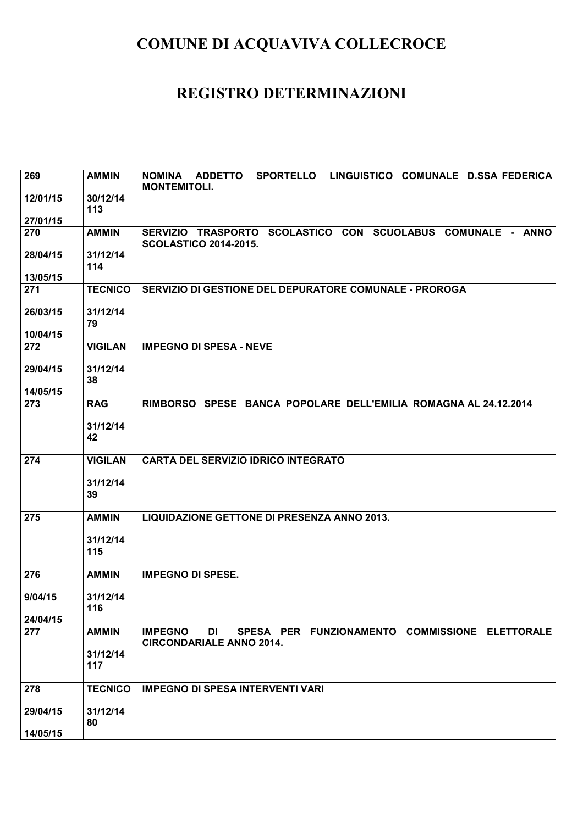| 269      | <b>AMMIN</b>    | SPORTELLO LINGUISTICO COMUNALE D.SSA FEDERICA<br><b>NOMINA</b><br><b>ADDETTO</b><br><b>MONTEMITOLI.</b>   |
|----------|-----------------|-----------------------------------------------------------------------------------------------------------|
| 12/01/15 | 30/12/14<br>113 |                                                                                                           |
| 27/01/15 |                 |                                                                                                           |
| 270      | <b>AMMIN</b>    | SERVIZIO TRASPORTO SCOLASTICO CON SCUOLABUS COMUNALE - ANNO<br><b>SCOLASTICO 2014-2015.</b>               |
| 28/04/15 | 31/12/14<br>114 |                                                                                                           |
| 13/05/15 |                 |                                                                                                           |
| 271      | <b>TECNICO</b>  | SERVIZIO DI GESTIONE DEL DEPURATORE COMUNALE - PROROGA                                                    |
| 26/03/15 | 31/12/14<br>79  |                                                                                                           |
| 10/04/15 |                 |                                                                                                           |
| 272      | <b>VIGILAN</b>  | <b>IMPEGNO DI SPESA - NEVE</b>                                                                            |
| 29/04/15 | 31/12/14<br>38  |                                                                                                           |
| 14/05/15 |                 |                                                                                                           |
| 273      | <b>RAG</b>      | RIMBORSO SPESE BANCA POPOLARE DELL'EMILIA ROMAGNA AL 24.12.2014                                           |
|          | 31/12/14<br>42  |                                                                                                           |
| 274      | <b>VIGILAN</b>  | <b>CARTA DEL SERVIZIO IDRICO INTEGRATO</b>                                                                |
|          | 31/12/14<br>39  |                                                                                                           |
| 275      | <b>AMMIN</b>    | LIQUIDAZIONE GETTONE DI PRESENZA ANNO 2013.                                                               |
|          | 31/12/14        |                                                                                                           |
|          | 115             |                                                                                                           |
| 276      | <b>AMMIN</b>    | <b>IMPEGNO DI SPESE.</b>                                                                                  |
| 9/04/15  | 31/12/14        |                                                                                                           |
| 24/04/15 | 116             |                                                                                                           |
| 277      | <b>AMMIN</b>    | SPESA PER FUNZIONAMENTO COMMISSIONE ELETTORALE<br><b>IMPEGNO</b><br>DI<br><b>CIRCONDARIALE ANNO 2014.</b> |
|          | 31/12/14<br>117 |                                                                                                           |
| 278      | <b>TECNICO</b>  | <b>IMPEGNO DI SPESA INTERVENTI VARI</b>                                                                   |
| 29/04/15 | 31/12/14        |                                                                                                           |
| 14/05/15 | 80              |                                                                                                           |